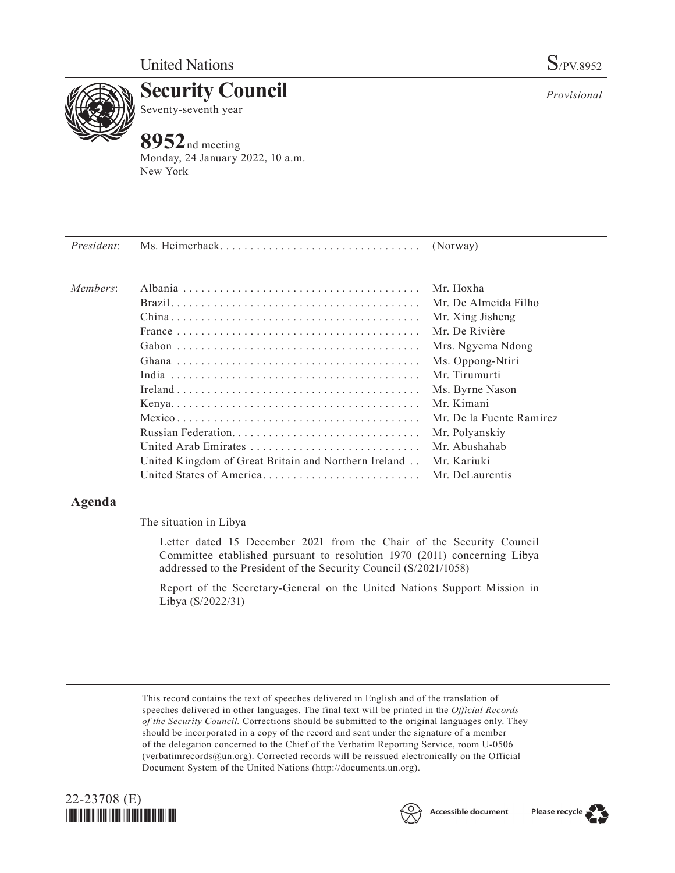

Seventy-seventh year

**Security Council**

# **8952**nd meeting

Monday, 24 January 2022, 10 a.m. New York

*President*: Ms. Heimerback. . . (Norway) *Members*: Albania. . Mr. Hoxha Brazil. . Mr. De Almeida Filho China. . Mr. Xing Jisheng France. . Mr. De Rivière Gabon. . Mrs. Ngyema Ndong Ghana. . Ms. Oppong-Ntiri India. . Mr. Tirumurti Ireland. . Ms. Byrne Nason Kenya. . . . . . . . . . . . . . . . . . . . . . . . . . . . . . . . . . . . . . . . . Mr. Kimani Mexico. . Mr. De la Fuente Ramírez Russian Federation. . Mr. Polyanskiy United Arab Emirates. . Mr. Abushahab United Kingdom of Great Britain and Northern Ireland. . Mr. Kariuki United States of America. . Mr. DeLaurentis

## **Agenda**

The situation in Libya

Letter dated 15 December 2021 from the Chair of the Security Council Committee etablished pursuant to resolution 1970 (2011) concerning Libya addressed to the President of the Security Council (S/2021/1058)

Report of the Secretary-General on the United Nations Support Mission in Libya (S/2022/31)

This record contains the text of speeches delivered in English and of the translation of speeches delivered in other languages. The final text will be printed in the *Official Records of the Security Council.* Corrections should be submitted to the original languages only. They should be incorporated in a copy of the record and sent under the signature of a member of the delegation concerned to the Chief of the Verbatim Reporting Service, room U-0506 (verbatimrecords@un.org). Corrected records will be reissued electronically on the Official Document System of the United Nations (http://documents.un.org).





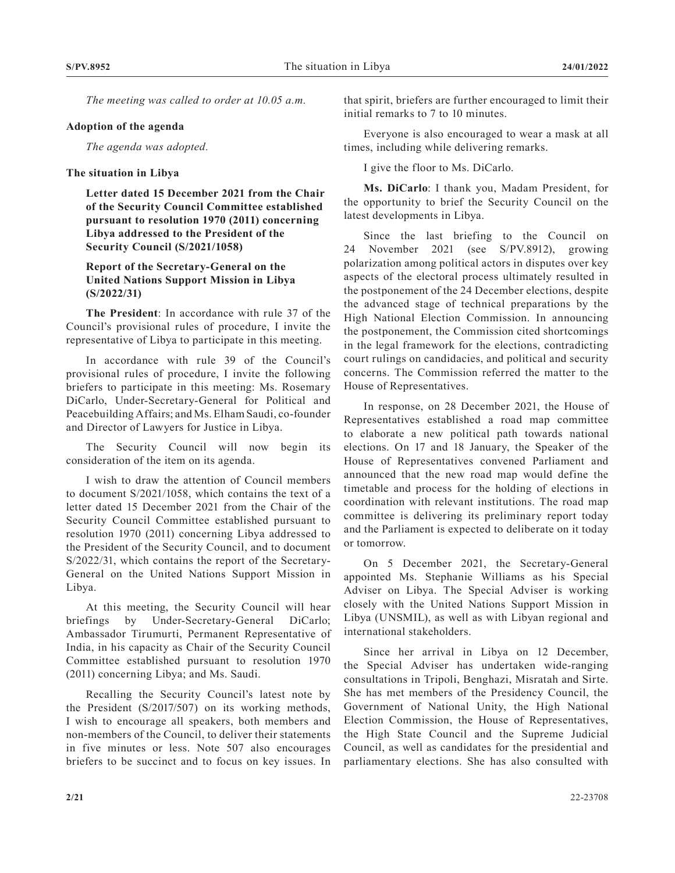*The meeting was called to order at 10.05 a.m.*

#### **Adoption of the agenda**

*The agenda was adopted.*

#### **The situation in Libya**

**Letter dated 15 December 2021 from the Chair of the Security Council Committee established pursuant to resolution 1970 (2011) concerning Libya addressed to the President of the Security Council (S/2021/1058)**

### **Report of the Secretary-General on the United Nations Support Mission in Libya (S/2022/31)**

**The President**: In accordance with rule 37 of the Council's provisional rules of procedure, I invite the representative of Libya to participate in this meeting.

In accordance with rule 39 of the Council's provisional rules of procedure, I invite the following briefers to participate in this meeting: Ms. Rosemary DiCarlo, Under-Secretary-General for Political and Peacebuilding Affairs; and Ms. Elham Saudi, co-founder and Director of Lawyers for Justice in Libya.

The Security Council will now begin its consideration of the item on its agenda.

I wish to draw the attention of Council members to document S/2021/1058, which contains the text of a letter dated 15 December 2021 from the Chair of the Security Council Committee established pursuant to resolution 1970 (2011) concerning Libya addressed to the President of the Security Council, and to document S/2022/31, which contains the report of the Secretary-General on the United Nations Support Mission in Libya.

At this meeting, the Security Council will hear briefings by Under-Secretary-General DiCarlo; Ambassador Tirumurti, Permanent Representative of India, in his capacity as Chair of the Security Council Committee established pursuant to resolution 1970 (2011) concerning Libya; and Ms. Saudi.

Recalling the Security Council's latest note by the President (S/2017/507) on its working methods, I wish to encourage all speakers, both members and non-members of the Council, to deliver their statements in five minutes or less. Note 507 also encourages briefers to be succinct and to focus on key issues. In

that spirit, briefers are further encouraged to limit their initial remarks to 7 to 10 minutes.

Everyone is also encouraged to wear a mask at all times, including while delivering remarks.

I give the floor to Ms. DiCarlo.

**Ms. DiCarlo**: I thank you, Madam President, for the opportunity to brief the Security Council on the latest developments in Libya.

Since the last briefing to the Council on 24 November 2021 (see S/PV.8912), growing polarization among political actors in disputes over key aspects of the electoral process ultimately resulted in the postponement of the 24 December elections, despite the advanced stage of technical preparations by the High National Election Commission. In announcing the postponement, the Commission cited shortcomings in the legal framework for the elections, contradicting court rulings on candidacies, and political and security concerns. The Commission referred the matter to the House of Representatives.

In response, on 28 December 2021, the House of Representatives established a road map committee to elaborate a new political path towards national elections. On 17 and 18 January, the Speaker of the House of Representatives convened Parliament and announced that the new road map would define the timetable and process for the holding of elections in coordination with relevant institutions. The road map committee is delivering its preliminary report today and the Parliament is expected to deliberate on it today or tomorrow.

On 5 December 2021, the Secretary-General appointed Ms. Stephanie Williams as his Special Adviser on Libya. The Special Adviser is working closely with the United Nations Support Mission in Libya (UNSMIL), as well as with Libyan regional and international stakeholders.

Since her arrival in Libya on 12 December, the Special Adviser has undertaken wide-ranging consultations in Tripoli, Benghazi, Misratah and Sirte. She has met members of the Presidency Council, the Government of National Unity, the High National Election Commission, the House of Representatives, the High State Council and the Supreme Judicial Council, as well as candidates for the presidential and parliamentary elections. She has also consulted with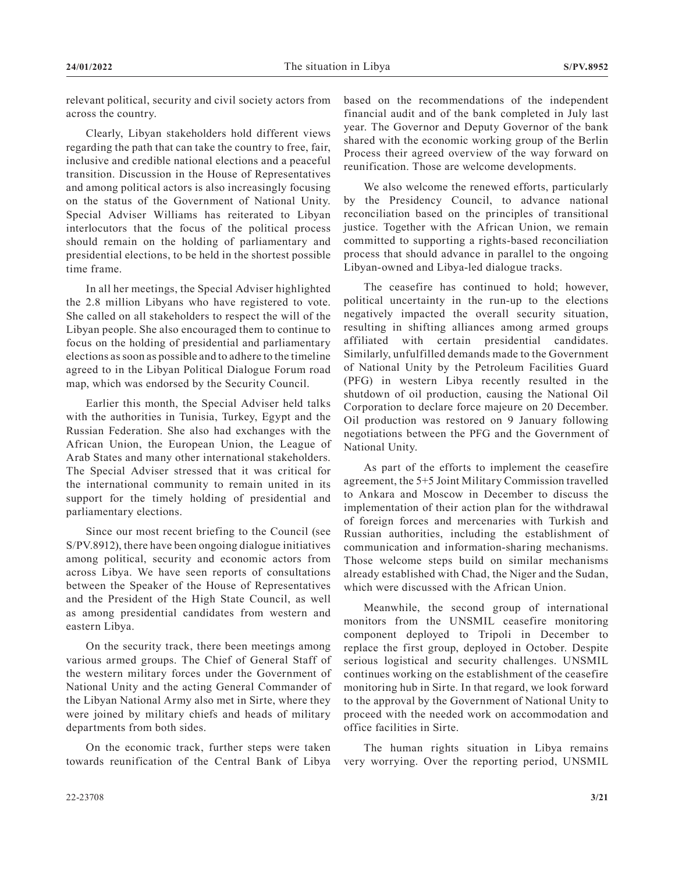relevant political, security and civil society actors from across the country.

Clearly, Libyan stakeholders hold different views regarding the path that can take the country to free, fair, inclusive and credible national elections and a peaceful transition. Discussion in the House of Representatives and among political actors is also increasingly focusing on the status of the Government of National Unity. Special Adviser Williams has reiterated to Libyan interlocutors that the focus of the political process should remain on the holding of parliamentary and presidential elections, to be held in the shortest possible time frame.

In all her meetings, the Special Adviser highlighted the 2.8 million Libyans who have registered to vote. She called on all stakeholders to respect the will of the Libyan people. She also encouraged them to continue to focus on the holding of presidential and parliamentary elections as soon as possible and to adhere to the timeline agreed to in the Libyan Political Dialogue Forum road map, which was endorsed by the Security Council.

Earlier this month, the Special Adviser held talks with the authorities in Tunisia, Turkey, Egypt and the Russian Federation. She also had exchanges with the African Union, the European Union, the League of Arab States and many other international stakeholders. The Special Adviser stressed that it was critical for the international community to remain united in its support for the timely holding of presidential and parliamentary elections.

Since our most recent briefing to the Council (see S/PV.8912), there have been ongoing dialogue initiatives among political, security and economic actors from across Libya. We have seen reports of consultations between the Speaker of the House of Representatives and the President of the High State Council, as well as among presidential candidates from western and eastern Libya.

On the security track, there been meetings among various armed groups. The Chief of General Staff of the western military forces under the Government of National Unity and the acting General Commander of the Libyan National Army also met in Sirte, where they were joined by military chiefs and heads of military departments from both sides.

On the economic track, further steps were taken towards reunification of the Central Bank of Libya based on the recommendations of the independent financial audit and of the bank completed in July last year. The Governor and Deputy Governor of the bank shared with the economic working group of the Berlin Process their agreed overview of the way forward on reunification. Those are welcome developments.

We also welcome the renewed efforts, particularly by the Presidency Council, to advance national reconciliation based on the principles of transitional justice. Together with the African Union, we remain committed to supporting a rights-based reconciliation process that should advance in parallel to the ongoing Libyan-owned and Libya-led dialogue tracks.

The ceasefire has continued to hold; however, political uncertainty in the run-up to the elections negatively impacted the overall security situation, resulting in shifting alliances among armed groups affiliated with certain presidential candidates. Similarly, unfulfilled demands made to the Government of National Unity by the Petroleum Facilities Guard (PFG) in western Libya recently resulted in the shutdown of oil production, causing the National Oil Corporation to declare force majeure on 20 December. Oil production was restored on 9 January following negotiations between the PFG and the Government of National Unity.

As part of the efforts to implement the ceasefire agreement, the 5+5 Joint Military Commission travelled to Ankara and Moscow in December to discuss the implementation of their action plan for the withdrawal of foreign forces and mercenaries with Turkish and Russian authorities, including the establishment of communication and information-sharing mechanisms. Those welcome steps build on similar mechanisms already established with Chad, the Niger and the Sudan, which were discussed with the African Union.

Meanwhile, the second group of international monitors from the UNSMIL ceasefire monitoring component deployed to Tripoli in December to replace the first group, deployed in October. Despite serious logistical and security challenges. UNSMIL continues working on the establishment of the ceasefire monitoring hub in Sirte. In that regard, we look forward to the approval by the Government of National Unity to proceed with the needed work on accommodation and office facilities in Sirte.

The human rights situation in Libya remains very worrying. Over the reporting period, UNSMIL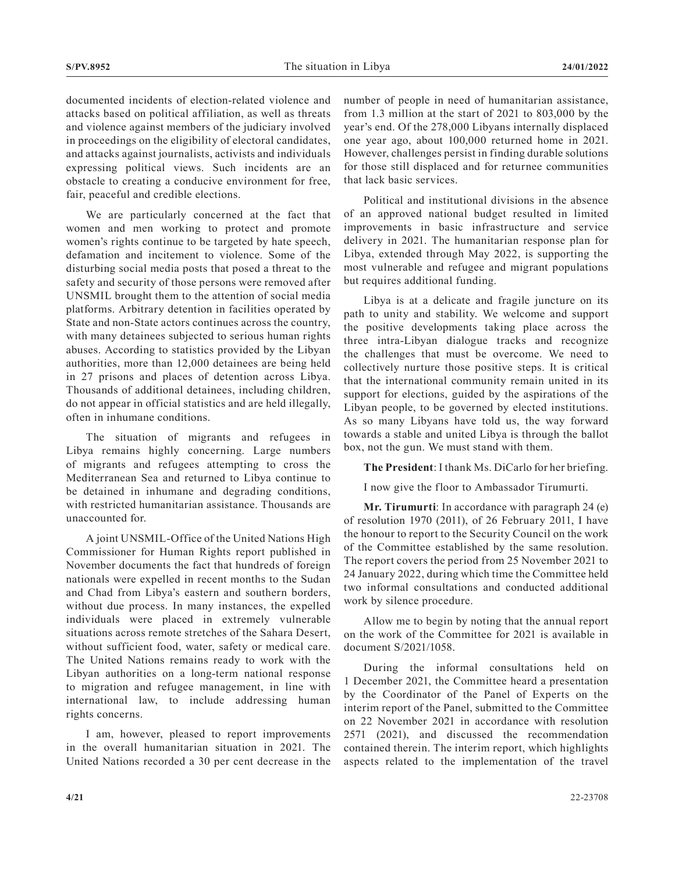documented incidents of election-related violence and attacks based on political affiliation, as well as threats and violence against members of the judiciary involved in proceedings on the eligibility of electoral candidates, and attacks against journalists, activists and individuals expressing political views. Such incidents are an obstacle to creating a conducive environment for free, fair, peaceful and credible elections.

We are particularly concerned at the fact that women and men working to protect and promote women's rights continue to be targeted by hate speech, defamation and incitement to violence. Some of the disturbing social media posts that posed a threat to the safety and security of those persons were removed after UNSMIL brought them to the attention of social media platforms. Arbitrary detention in facilities operated by State and non-State actors continues across the country, with many detainees subjected to serious human rights abuses. According to statistics provided by the Libyan authorities, more than 12,000 detainees are being held in 27 prisons and places of detention across Libya. Thousands of additional detainees, including children, do not appear in official statistics and are held illegally, often in inhumane conditions.

The situation of migrants and refugees in Libya remains highly concerning. Large numbers of migrants and refugees attempting to cross the Mediterranean Sea and returned to Libya continue to be detained in inhumane and degrading conditions, with restricted humanitarian assistance. Thousands are unaccounted for.

A joint UNSMIL-Office of the United Nations High Commissioner for Human Rights report published in November documents the fact that hundreds of foreign nationals were expelled in recent months to the Sudan and Chad from Libya's eastern and southern borders, without due process. In many instances, the expelled individuals were placed in extremely vulnerable situations across remote stretches of the Sahara Desert, without sufficient food, water, safety or medical care. The United Nations remains ready to work with the Libyan authorities on a long-term national response to migration and refugee management, in line with international law, to include addressing human rights concerns.

I am, however, pleased to report improvements in the overall humanitarian situation in 2021. The United Nations recorded a 30 per cent decrease in the number of people in need of humanitarian assistance, from 1.3 million at the start of 2021 to 803,000 by the year's end. Of the 278,000 Libyans internally displaced one year ago, about 100,000 returned home in 2021. However, challenges persist in finding durable solutions for those still displaced and for returnee communities that lack basic services.

Political and institutional divisions in the absence of an approved national budget resulted in limited improvements in basic infrastructure and service delivery in 2021. The humanitarian response plan for Libya, extended through May 2022, is supporting the most vulnerable and refugee and migrant populations but requires additional funding.

Libya is at a delicate and fragile juncture on its path to unity and stability. We welcome and support the positive developments taking place across the three intra-Libyan dialogue tracks and recognize the challenges that must be overcome. We need to collectively nurture those positive steps. It is critical that the international community remain united in its support for elections, guided by the aspirations of the Libyan people, to be governed by elected institutions. As so many Libyans have told us, the way forward towards a stable and united Libya is through the ballot box, not the gun. We must stand with them.

**The President**: I thank Ms. DiCarlo for her briefing.

I now give the floor to Ambassador Tirumurti.

**Mr. Tirumurti**: In accordance with paragraph 24 (e) of resolution 1970 (2011), of 26 February 2011, I have the honour to report to the Security Council on the work of the Committee established by the same resolution. The report covers the period from 25 November 2021 to 24 January 2022, during which time the Committee held two informal consultations and conducted additional work by silence procedure.

Allow me to begin by noting that the annual report on the work of the Committee for 2021 is available in document S/2021/1058.

During the informal consultations held on 1 December 2021, the Committee heard a presentation by the Coordinator of the Panel of Experts on the interim report of the Panel, submitted to the Committee on 22 November 2021 in accordance with resolution 2571 (2021), and discussed the recommendation contained therein. The interim report, which highlights aspects related to the implementation of the travel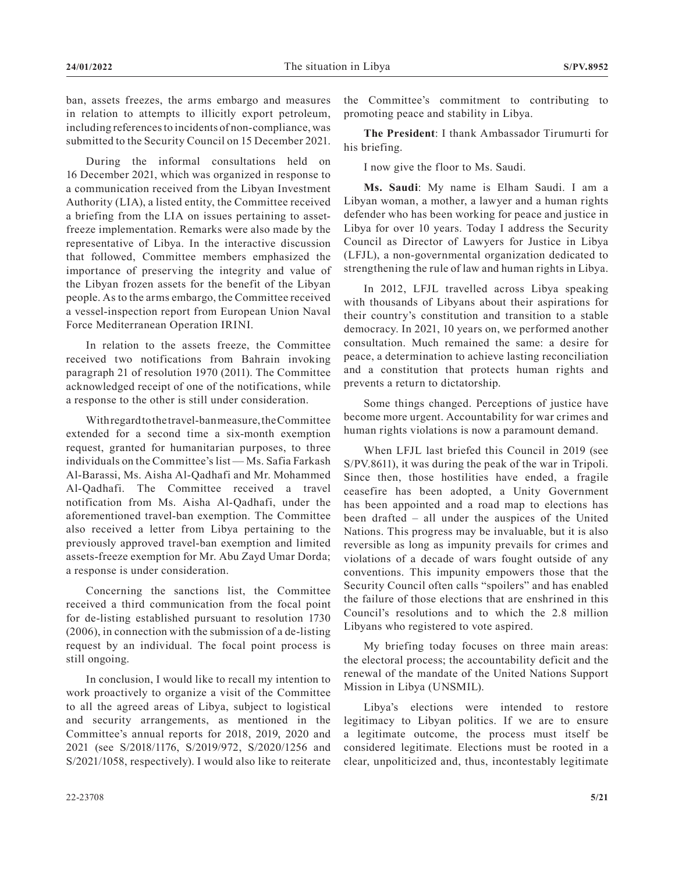ban, assets freezes, the arms embargo and measures in relation to attempts to illicitly export petroleum, including references to incidents of non-compliance, was submitted to the Security Council on 15 December 2021.

During the informal consultations held on 16 December 2021, which was organized in response to a communication received from the Libyan Investment Authority (LIA), a listed entity, the Committee received a briefing from the LIA on issues pertaining to assetfreeze implementation. Remarks were also made by the representative of Libya. In the interactive discussion that followed, Committee members emphasized the importance of preserving the integrity and value of the Libyan frozen assets for the benefit of the Libyan people. As to the arms embargo, the Committee received a vessel-inspection report from European Union Naval Force Mediterranean Operation IRINI.

In relation to the assets freeze, the Committee received two notifications from Bahrain invoking paragraph 21 of resolution 1970 (2011). The Committee acknowledged receipt of one of the notifications, while a response to the other is still under consideration.

With regard to the travel-ban measure, the Committee extended for a second time a six-month exemption request, granted for humanitarian purposes, to three individuals on the Committee's list — Ms. Safia Farkash Al-Barassi, Ms. Aisha Al-Qadhafi and Mr. Mohammed Al-Qadhafi. The Committee received a travel notification from Ms. Aisha Al-Qadhafi, under the aforementioned travel-ban exemption. The Committee also received a letter from Libya pertaining to the previously approved travel-ban exemption and limited assets-freeze exemption for Mr. Abu Zayd Umar Dorda; a response is under consideration.

Concerning the sanctions list, the Committee received a third communication from the focal point for de-listing established pursuant to resolution 1730 (2006), in connection with the submission of a de-listing request by an individual. The focal point process is still ongoing.

In conclusion, I would like to recall my intention to work proactively to organize a visit of the Committee to all the agreed areas of Libya, subject to logistical and security arrangements, as mentioned in the Committee's annual reports for 2018, 2019, 2020 and 2021 (see S/2018/1176, S/2019/972, S/2020/1256 and S/2021/1058, respectively). I would also like to reiterate

the Committee's commitment to contributing to promoting peace and stability in Libya.

**The President**: I thank Ambassador Tirumurti for his briefing.

I now give the floor to Ms. Saudi.

**Ms. Saudi**: My name is Elham Saudi. I am a Libyan woman, a mother, a lawyer and a human rights defender who has been working for peace and justice in Libya for over 10 years. Today I address the Security Council as Director of Lawyers for Justice in Libya (LFJL), a non-governmental organization dedicated to strengthening the rule of law and human rights in Libya.

In 2012, LFJL travelled across Libya speaking with thousands of Libyans about their aspirations for their country's constitution and transition to a stable democracy. In 2021, 10 years on, we performed another consultation. Much remained the same: a desire for peace, a determination to achieve lasting reconciliation and a constitution that protects human rights and prevents a return to dictatorship.

Some things changed. Perceptions of justice have become more urgent. Accountability for war crimes and human rights violations is now a paramount demand.

When LFJL last briefed this Council in 2019 (see S/PV.8611), it was during the peak of the war in Tripoli. Since then, those hostilities have ended, a fragile ceasefire has been adopted, a Unity Government has been appointed and a road map to elections has been drafted – all under the auspices of the United Nations. This progress may be invaluable, but it is also reversible as long as impunity prevails for crimes and violations of a decade of wars fought outside of any conventions. This impunity empowers those that the Security Council often calls "spoilers" and has enabled the failure of those elections that are enshrined in this Council's resolutions and to which the 2.8 million Libyans who registered to vote aspired.

My briefing today focuses on three main areas: the electoral process; the accountability deficit and the renewal of the mandate of the United Nations Support Mission in Libya (UNSMIL).

Libya's elections were intended to restore legitimacy to Libyan politics. If we are to ensure a legitimate outcome, the process must itself be considered legitimate. Elections must be rooted in a clear, unpoliticized and, thus, incontestably legitimate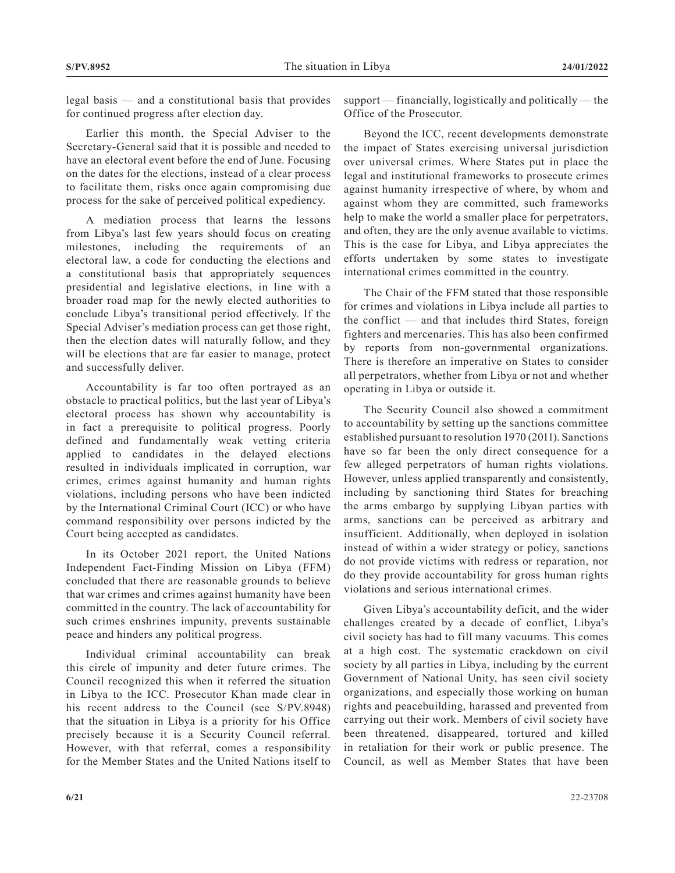legal basis — and a constitutional basis that provides for continued progress after election day.

Earlier this month, the Special Adviser to the Secretary-General said that it is possible and needed to have an electoral event before the end of June. Focusing on the dates for the elections, instead of a clear process to facilitate them, risks once again compromising due process for the sake of perceived political expediency.

A mediation process that learns the lessons from Libya's last few years should focus on creating milestones, including the requirements of an electoral law, a code for conducting the elections and a constitutional basis that appropriately sequences presidential and legislative elections, in line with a broader road map for the newly elected authorities to conclude Libya's transitional period effectively. If the Special Adviser's mediation process can get those right, then the election dates will naturally follow, and they will be elections that are far easier to manage, protect and successfully deliver.

Accountability is far too often portrayed as an obstacle to practical politics, but the last year of Libya's electoral process has shown why accountability is in fact a prerequisite to political progress. Poorly defined and fundamentally weak vetting criteria applied to candidates in the delayed elections resulted in individuals implicated in corruption, war crimes, crimes against humanity and human rights violations, including persons who have been indicted by the International Criminal Court (ICC) or who have command responsibility over persons indicted by the Court being accepted as candidates.

In its October 2021 report, the United Nations Independent Fact-Finding Mission on Libya (FFM) concluded that there are reasonable grounds to believe that war crimes and crimes against humanity have been committed in the country. The lack of accountability for such crimes enshrines impunity, prevents sustainable peace and hinders any political progress.

Individual criminal accountability can break this circle of impunity and deter future crimes. The Council recognized this when it referred the situation in Libya to the ICC. Prosecutor Khan made clear in his recent address to the Council (see S/PV.8948) that the situation in Libya is a priority for his Office precisely because it is a Security Council referral. However, with that referral, comes a responsibility for the Member States and the United Nations itself to support — financially, logistically and politically — the Office of the Prosecutor.

Beyond the ICC, recent developments demonstrate the impact of States exercising universal jurisdiction over universal crimes. Where States put in place the legal and institutional frameworks to prosecute crimes against humanity irrespective of where, by whom and against whom they are committed, such frameworks help to make the world a smaller place for perpetrators, and often, they are the only avenue available to victims. This is the case for Libya, and Libya appreciates the efforts undertaken by some states to investigate international crimes committed in the country.

The Chair of the FFM stated that those responsible for crimes and violations in Libya include all parties to the conflict — and that includes third States, foreign fighters and mercenaries. This has also been confirmed by reports from non-governmental organizations. There is therefore an imperative on States to consider all perpetrators, whether from Libya or not and whether operating in Libya or outside it.

The Security Council also showed a commitment to accountability by setting up the sanctions committee established pursuant to resolution 1970 (2011). Sanctions have so far been the only direct consequence for a few alleged perpetrators of human rights violations. However, unless applied transparently and consistently, including by sanctioning third States for breaching the arms embargo by supplying Libyan parties with arms, sanctions can be perceived as arbitrary and insufficient. Additionally, when deployed in isolation instead of within a wider strategy or policy, sanctions do not provide victims with redress or reparation, nor do they provide accountability for gross human rights violations and serious international crimes.

Given Libya's accountability deficit, and the wider challenges created by a decade of conflict, Libya's civil society has had to fill many vacuums. This comes at a high cost. The systematic crackdown on civil society by all parties in Libya, including by the current Government of National Unity, has seen civil society organizations, and especially those working on human rights and peacebuilding, harassed and prevented from carrying out their work. Members of civil society have been threatened, disappeared, tortured and killed in retaliation for their work or public presence. The Council, as well as Member States that have been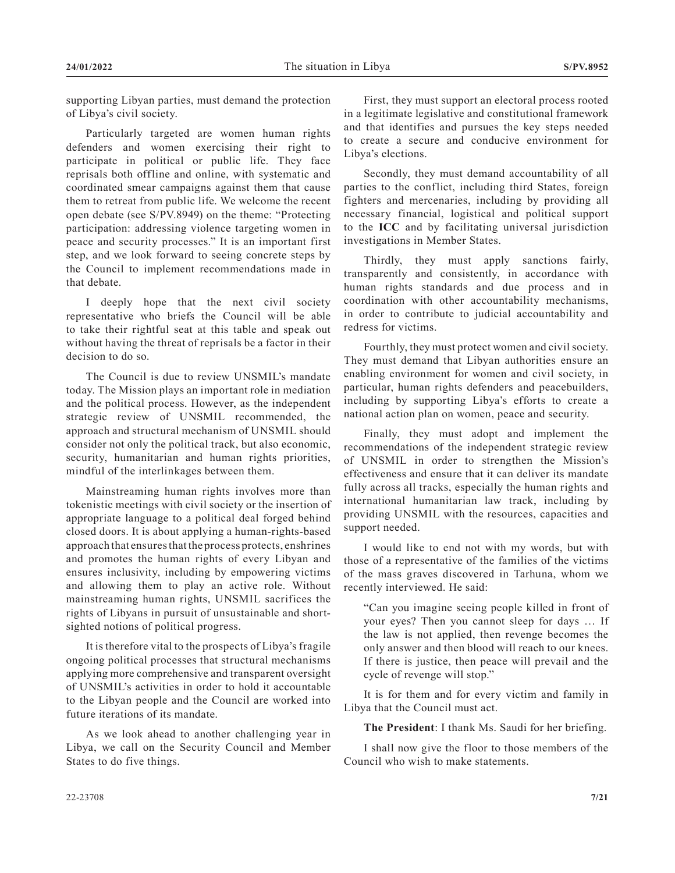supporting Libyan parties, must demand the protection of Libya's civil society.

Particularly targeted are women human rights defenders and women exercising their right to participate in political or public life. They face reprisals both offline and online, with systematic and coordinated smear campaigns against them that cause them to retreat from public life. We welcome the recent open debate (see S/PV.8949) on the theme: "Protecting participation: addressing violence targeting women in peace and security processes." It is an important first step, and we look forward to seeing concrete steps by the Council to implement recommendations made in that debate.

I deeply hope that the next civil society representative who briefs the Council will be able to take their rightful seat at this table and speak out without having the threat of reprisals be a factor in their decision to do so.

The Council is due to review UNSMIL's mandate today. The Mission plays an important role in mediation and the political process. However, as the independent strategic review of UNSMIL recommended, the approach and structural mechanism of UNSMIL should consider not only the political track, but also economic, security, humanitarian and human rights priorities, mindful of the interlinkages between them.

Mainstreaming human rights involves more than tokenistic meetings with civil society or the insertion of appropriate language to a political deal forged behind closed doors. It is about applying a human-rights-based approach that ensures that the process protects, enshrines and promotes the human rights of every Libyan and ensures inclusivity, including by empowering victims and allowing them to play an active role. Without mainstreaming human rights, UNSMIL sacrifices the rights of Libyans in pursuit of unsustainable and shortsighted notions of political progress.

It is therefore vital to the prospects of Libya's fragile ongoing political processes that structural mechanisms applying more comprehensive and transparent oversight of UNSMIL's activities in order to hold it accountable to the Libyan people and the Council are worked into future iterations of its mandate.

As we look ahead to another challenging year in Libya, we call on the Security Council and Member States to do five things.

First, they must support an electoral process rooted in a legitimate legislative and constitutional framework and that identifies and pursues the key steps needed to create a secure and conducive environment for Libya's elections.

Secondly, they must demand accountability of all parties to the conflict, including third States, foreign fighters and mercenaries, including by providing all necessary financial, logistical and political support to the **ICC** and by facilitating universal jurisdiction investigations in Member States.

Thirdly, they must apply sanctions fairly, transparently and consistently, in accordance with human rights standards and due process and in coordination with other accountability mechanisms, in order to contribute to judicial accountability and redress for victims.

Fourthly, they must protect women and civil society. They must demand that Libyan authorities ensure an enabling environment for women and civil society, in particular, human rights defenders and peacebuilders, including by supporting Libya's efforts to create a national action plan on women, peace and security.

Finally, they must adopt and implement the recommendations of the independent strategic review of UNSMIL in order to strengthen the Mission's effectiveness and ensure that it can deliver its mandate fully across all tracks, especially the human rights and international humanitarian law track, including by providing UNSMIL with the resources, capacities and support needed.

I would like to end not with my words, but with those of a representative of the families of the victims of the mass graves discovered in Tarhuna, whom we recently interviewed. He said:

"Can you imagine seeing people killed in front of your eyes? Then you cannot sleep for days … If the law is not applied, then revenge becomes the only answer and then blood will reach to our knees. If there is justice, then peace will prevail and the cycle of revenge will stop."

It is for them and for every victim and family in Libya that the Council must act.

**The President**: I thank Ms. Saudi for her briefing.

I shall now give the floor to those members of the Council who wish to make statements.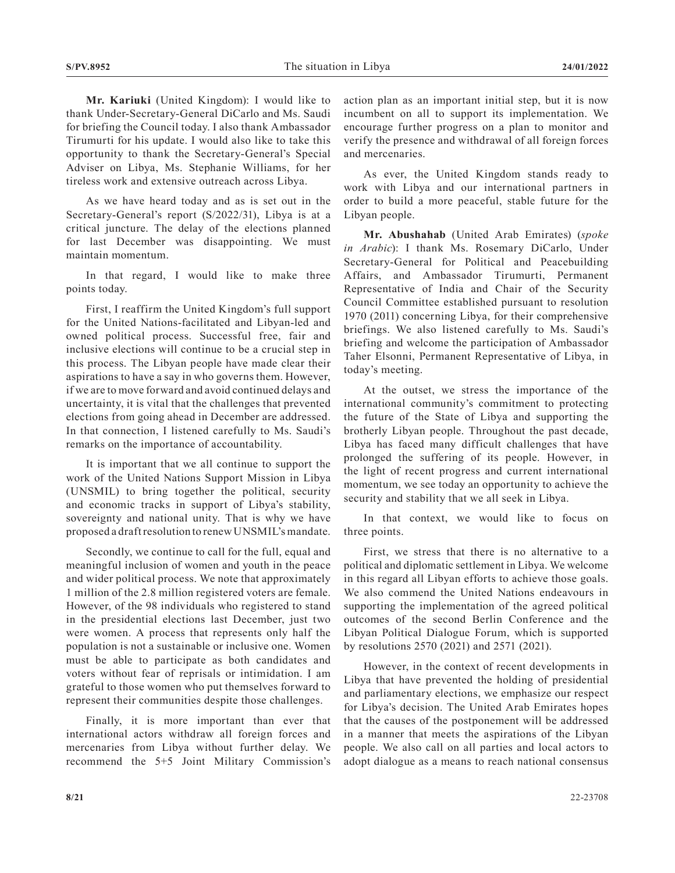**Mr. Kariuki** (United Kingdom): I would like to thank Under-Secretary-General DiCarlo and Ms. Saudi for briefing the Council today. I also thank Ambassador Tirumurti for his update. I would also like to take this opportunity to thank the Secretary-General's Special Adviser on Libya, Ms. Stephanie Williams, for her tireless work and extensive outreach across Libya.

As we have heard today and as is set out in the Secretary-General's report (S/2022/31), Libya is at a critical juncture. The delay of the elections planned for last December was disappointing. We must maintain momentum.

In that regard, I would like to make three points today.

First, I reaffirm the United Kingdom's full support for the United Nations-facilitated and Libyan-led and owned political process. Successful free, fair and inclusive elections will continue to be a crucial step in this process. The Libyan people have made clear their aspirations to have a say in who governs them. However, if we are to move forward and avoid continued delays and uncertainty, it is vital that the challenges that prevented elections from going ahead in December are addressed. In that connection, I listened carefully to Ms. Saudi's remarks on the importance of accountability.

It is important that we all continue to support the work of the United Nations Support Mission in Libya (UNSMIL) to bring together the political, security and economic tracks in support of Libya's stability, sovereignty and national unity. That is why we have proposed a draft resolution to renew UNSMIL's mandate.

Secondly, we continue to call for the full, equal and meaningful inclusion of women and youth in the peace and wider political process. We note that approximately 1 million of the 2.8 million registered voters are female. However, of the 98 individuals who registered to stand in the presidential elections last December, just two were women. A process that represents only half the population is not a sustainable or inclusive one. Women must be able to participate as both candidates and voters without fear of reprisals or intimidation. I am grateful to those women who put themselves forward to represent their communities despite those challenges.

Finally, it is more important than ever that international actors withdraw all foreign forces and mercenaries from Libya without further delay. We recommend the 5+5 Joint Military Commission's

action plan as an important initial step, but it is now incumbent on all to support its implementation. We encourage further progress on a plan to monitor and verify the presence and withdrawal of all foreign forces and mercenaries.

As ever, the United Kingdom stands ready to work with Libya and our international partners in order to build a more peaceful, stable future for the Libyan people.

**Mr. Abushahab** (United Arab Emirates) (*spoke in Arabic*): I thank Ms. Rosemary DiCarlo, Under Secretary-General for Political and Peacebuilding Affairs, and Ambassador Tirumurti, Permanent Representative of India and Chair of the Security Council Committee established pursuant to resolution 1970 (2011) concerning Libya, for their comprehensive briefings. We also listened carefully to Ms. Saudi's briefing and welcome the participation of Ambassador Taher Elsonni, Permanent Representative of Libya, in today's meeting.

At the outset, we stress the importance of the international community's commitment to protecting the future of the State of Libya and supporting the brotherly Libyan people. Throughout the past decade, Libya has faced many difficult challenges that have prolonged the suffering of its people. However, in the light of recent progress and current international momentum, we see today an opportunity to achieve the security and stability that we all seek in Libya.

In that context, we would like to focus on three points.

First, we stress that there is no alternative to a political and diplomatic settlement in Libya. We welcome in this regard all Libyan efforts to achieve those goals. We also commend the United Nations endeavours in supporting the implementation of the agreed political outcomes of the second Berlin Conference and the Libyan Political Dialogue Forum, which is supported by resolutions 2570 (2021) and 2571 (2021).

However, in the context of recent developments in Libya that have prevented the holding of presidential and parliamentary elections, we emphasize our respect for Libya's decision. The United Arab Emirates hopes that the causes of the postponement will be addressed in a manner that meets the aspirations of the Libyan people. We also call on all parties and local actors to adopt dialogue as a means to reach national consensus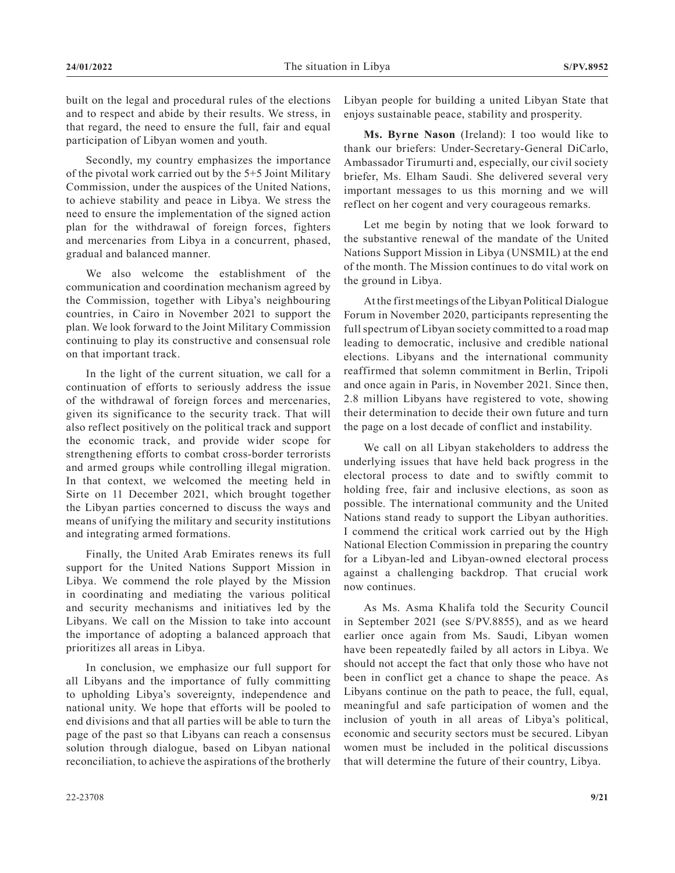built on the legal and procedural rules of the elections and to respect and abide by their results. We stress, in that regard, the need to ensure the full, fair and equal participation of Libyan women and youth.

Secondly, my country emphasizes the importance of the pivotal work carried out by the 5+5 Joint Military Commission, under the auspices of the United Nations, to achieve stability and peace in Libya. We stress the need to ensure the implementation of the signed action plan for the withdrawal of foreign forces, fighters and mercenaries from Libya in a concurrent, phased, gradual and balanced manner.

We also welcome the establishment of the communication and coordination mechanism agreed by the Commission, together with Libya's neighbouring countries, in Cairo in November 2021 to support the plan. We look forward to the Joint Military Commission continuing to play its constructive and consensual role on that important track.

In the light of the current situation, we call for a continuation of efforts to seriously address the issue of the withdrawal of foreign forces and mercenaries, given its significance to the security track. That will also reflect positively on the political track and support the economic track, and provide wider scope for strengthening efforts to combat cross-border terrorists and armed groups while controlling illegal migration. In that context, we welcomed the meeting held in Sirte on 11 December 2021, which brought together the Libyan parties concerned to discuss the ways and means of unifying the military and security institutions and integrating armed formations.

Finally, the United Arab Emirates renews its full support for the United Nations Support Mission in Libya. We commend the role played by the Mission in coordinating and mediating the various political and security mechanisms and initiatives led by the Libyans. We call on the Mission to take into account the importance of adopting a balanced approach that prioritizes all areas in Libya.

In conclusion, we emphasize our full support for all Libyans and the importance of fully committing to upholding Libya's sovereignty, independence and national unity. We hope that efforts will be pooled to end divisions and that all parties will be able to turn the page of the past so that Libyans can reach a consensus solution through dialogue, based on Libyan national reconciliation, to achieve the aspirations of the brotherly

**Ms. Byrne Nason** (Ireland): I too would like to thank our briefers: Under-Secretary-General DiCarlo, Ambassador Tirumurti and, especially, our civil society briefer, Ms. Elham Saudi. She delivered several very important messages to us this morning and we will reflect on her cogent and very courageous remarks.

Let me begin by noting that we look forward to the substantive renewal of the mandate of the United Nations Support Mission in Libya (UNSMIL) at the end of the month. The Mission continues to do vital work on the ground in Libya.

At the first meetings of the Libyan Political Dialogue Forum in November 2020, participants representing the full spectrum of Libyan society committed to a road map leading to democratic, inclusive and credible national elections. Libyans and the international community reaffirmed that solemn commitment in Berlin, Tripoli and once again in Paris, in November 2021. Since then, 2.8 million Libyans have registered to vote, showing their determination to decide their own future and turn the page on a lost decade of conflict and instability.

We call on all Libyan stakeholders to address the underlying issues that have held back progress in the electoral process to date and to swiftly commit to holding free, fair and inclusive elections, as soon as possible. The international community and the United Nations stand ready to support the Libyan authorities. I commend the critical work carried out by the High National Election Commission in preparing the country for a Libyan-led and Libyan-owned electoral process against a challenging backdrop. That crucial work now continues.

As Ms. Asma Khalifa told the Security Council in September 2021 (see S/PV.8855), and as we heard earlier once again from Ms. Saudi, Libyan women have been repeatedly failed by all actors in Libya. We should not accept the fact that only those who have not been in conflict get a chance to shape the peace. As Libyans continue on the path to peace, the full, equal, meaningful and safe participation of women and the inclusion of youth in all areas of Libya's political, economic and security sectors must be secured. Libyan women must be included in the political discussions that will determine the future of their country, Libya.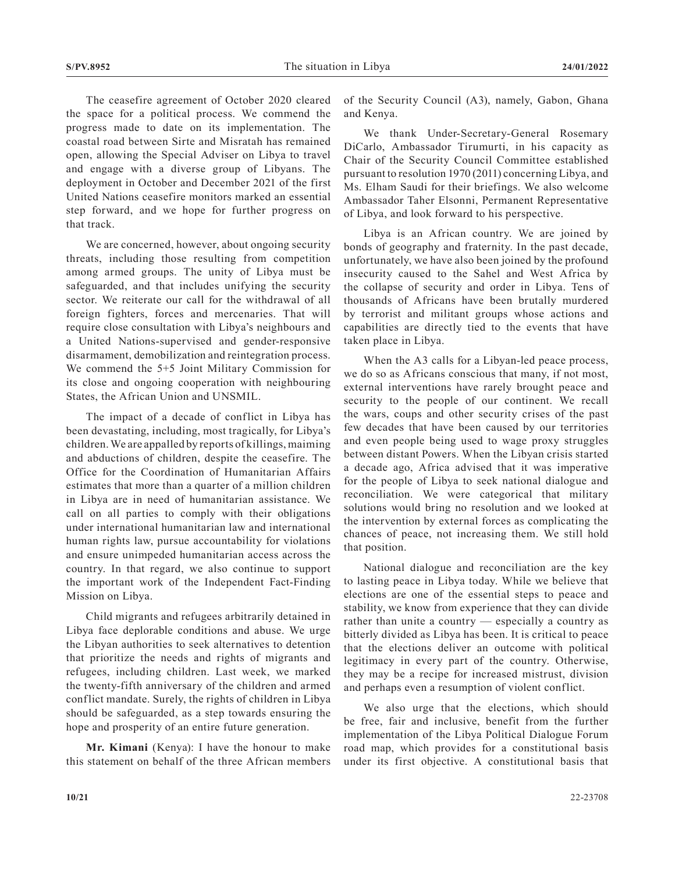The ceasefire agreement of October 2020 cleared the space for a political process. We commend the progress made to date on its implementation. The coastal road between Sirte and Misratah has remained open, allowing the Special Adviser on Libya to travel and engage with a diverse group of Libyans. The deployment in October and December 2021 of the first United Nations ceasefire monitors marked an essential step forward, and we hope for further progress on that track.

We are concerned, however, about ongoing security threats, including those resulting from competition among armed groups. The unity of Libya must be safeguarded, and that includes unifying the security sector. We reiterate our call for the withdrawal of all foreign fighters, forces and mercenaries. That will require close consultation with Libya's neighbours and a United Nations-supervised and gender-responsive disarmament, demobilization and reintegration process. We commend the 5+5 Joint Military Commission for its close and ongoing cooperation with neighbouring States, the African Union and UNSMIL.

The impact of a decade of conflict in Libya has been devastating, including, most tragically, for Libya's children. We are appalled by reports of killings, maiming and abductions of children, despite the ceasefire. The Office for the Coordination of Humanitarian Affairs estimates that more than a quarter of a million children in Libya are in need of humanitarian assistance. We call on all parties to comply with their obligations under international humanitarian law and international human rights law, pursue accountability for violations and ensure unimpeded humanitarian access across the country. In that regard, we also continue to support the important work of the Independent Fact-Finding Mission on Libya.

Child migrants and refugees arbitrarily detained in Libya face deplorable conditions and abuse. We urge the Libyan authorities to seek alternatives to detention that prioritize the needs and rights of migrants and refugees, including children. Last week, we marked the twenty-fifth anniversary of the children and armed conflict mandate. Surely, the rights of children in Libya should be safeguarded, as a step towards ensuring the hope and prosperity of an entire future generation.

**Mr. Kimani** (Kenya): I have the honour to make this statement on behalf of the three African members of the Security Council (A3), namely, Gabon, Ghana and Kenya.

We thank Under-Secretary-General Rosemary DiCarlo, Ambassador Tirumurti, in his capacity as Chair of the Security Council Committee established pursuant to resolution 1970 (2011) concerning Libya, and Ms. Elham Saudi for their briefings. We also welcome Ambassador Taher Elsonni, Permanent Representative of Libya, and look forward to his perspective.

Libya is an African country. We are joined by bonds of geography and fraternity. In the past decade, unfortunately, we have also been joined by the profound insecurity caused to the Sahel and West Africa by the collapse of security and order in Libya. Tens of thousands of Africans have been brutally murdered by terrorist and militant groups whose actions and capabilities are directly tied to the events that have taken place in Libya.

When the A3 calls for a Libyan-led peace process, we do so as Africans conscious that many, if not most, external interventions have rarely brought peace and security to the people of our continent. We recall the wars, coups and other security crises of the past few decades that have been caused by our territories and even people being used to wage proxy struggles between distant Powers. When the Libyan crisis started a decade ago, Africa advised that it was imperative for the people of Libya to seek national dialogue and reconciliation. We were categorical that military solutions would bring no resolution and we looked at the intervention by external forces as complicating the chances of peace, not increasing them. We still hold that position.

National dialogue and reconciliation are the key to lasting peace in Libya today. While we believe that elections are one of the essential steps to peace and stability, we know from experience that they can divide rather than unite a country — especially a country as bitterly divided as Libya has been. It is critical to peace that the elections deliver an outcome with political legitimacy in every part of the country. Otherwise, they may be a recipe for increased mistrust, division and perhaps even a resumption of violent conflict.

We also urge that the elections, which should be free, fair and inclusive, benefit from the further implementation of the Libya Political Dialogue Forum road map, which provides for a constitutional basis under its first objective. A constitutional basis that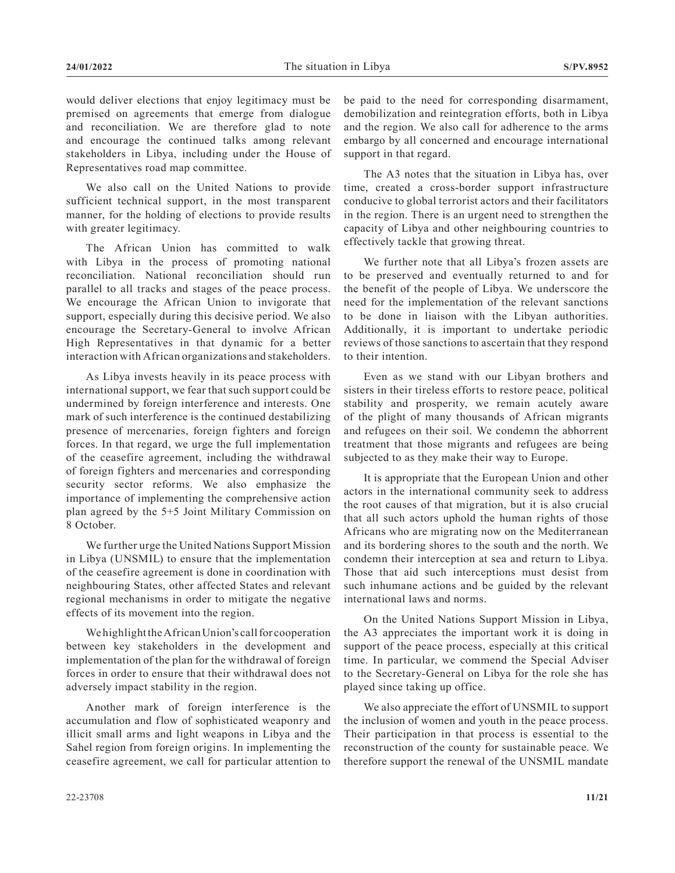would deliver elections that enjoy legitimacy must be premised on agreements that emerge from dialogue and reconciliation. We are therefore glad to note and encourage the continued talks among relevant stakeholders in Libya, including under the House of Representatives road map committee.

We also call on the United Nations to provide sufficient technical support, in the most transparent manner, for the holding of elections to provide results with greater legitimacy.

The African Union has committed to walk with Libya in the process of promoting national reconciliation. National reconciliation should run parallel to all tracks and stages of the peace process. We encourage the African Union to invigorate that support, especially during this decisive period. We also encourage the Secretary-General to involve African High Representatives in that dynamic for a better interaction with African organizations and stakeholders.

As Libya invests heavily in its peace process with international support, we fear that such support could be undermined by foreign interference and interests. One mark of such interference is the continued destabilizing presence of mercenaries, foreign fighters and foreign forces. In that regard, we urge the full implementation of the ceasefire agreement, including the withdrawal of foreign fighters and mercenaries and corresponding security sector reforms. We also emphasize the importance of implementing the comprehensive action plan agreed by the 5+5 Joint Military Commission on 8 October.

We further urge the United Nations Support Mission in Libya (UNSMIL) to ensure that the implementation of the ceasefire agreement is done in coordination with neighbouring States, other affected States and relevant regional mechanisms in order to mitigate the negative effects of its movement into the region.

We highlight the African Union's call for cooperation between key stakeholders in the development and implementation of the plan for the withdrawal of foreign forces in order to ensure that their withdrawal does not adversely impact stability in the region.

Another mark of foreign interference is the accumulation and flow of sophisticated weaponry and illicit small arms and light weapons in Libya and the Sahel region from foreign origins. In implementing the ceasefire agreement, we call for particular attention to be paid to the need for corresponding disarmament, demobilization and reintegration efforts, both in Libya and the region. We also call for adherence to the arms embargo by all concerned and encourage international support in that regard.

The A3 notes that the situation in Libya has, over time, created a cross-border support infrastructure conducive to global terrorist actors and their facilitators in the region. There is an urgent need to strengthen the capacity of Libya and other neighbouring countries to effectively tackle that growing threat.

We further note that all Libya's frozen assets are to be preserved and eventually returned to and for the benefit of the people of Libya. We underscore the need for the implementation of the relevant sanctions to be done in liaison with the Libyan authorities. Additionally, it is important to undertake periodic reviews of those sanctions to ascertain that they respond to their intention.

Even as we stand with our Libyan brothers and sisters in their tireless efforts to restore peace, political stability and prosperity, we remain acutely aware of the plight of many thousands of African migrants and refugees on their soil. We condemn the abhorrent treatment that those migrants and refugees are being subjected to as they make their way to Europe.

It is appropriate that the European Union and other actors in the international community seek to address the root causes of that migration, but it is also crucial that all such actors uphold the human rights of those Africans who are migrating now on the Mediterranean and its bordering shores to the south and the north. We condemn their interception at sea and return to Libya. Those that aid such interceptions must desist from such inhumane actions and be guided by the relevant international laws and norms.

On the United Nations Support Mission in Libya, the A3 appreciates the important work it is doing in support of the peace process, especially at this critical time. In particular, we commend the Special Adviser to the Secretary-General on Libya for the role she has played since taking up office.

We also appreciate the effort of UNSMIL to support the inclusion of women and youth in the peace process. Their participation in that process is essential to the reconstruction of the county for sustainable peace. We therefore support the renewal of the UNSMIL mandate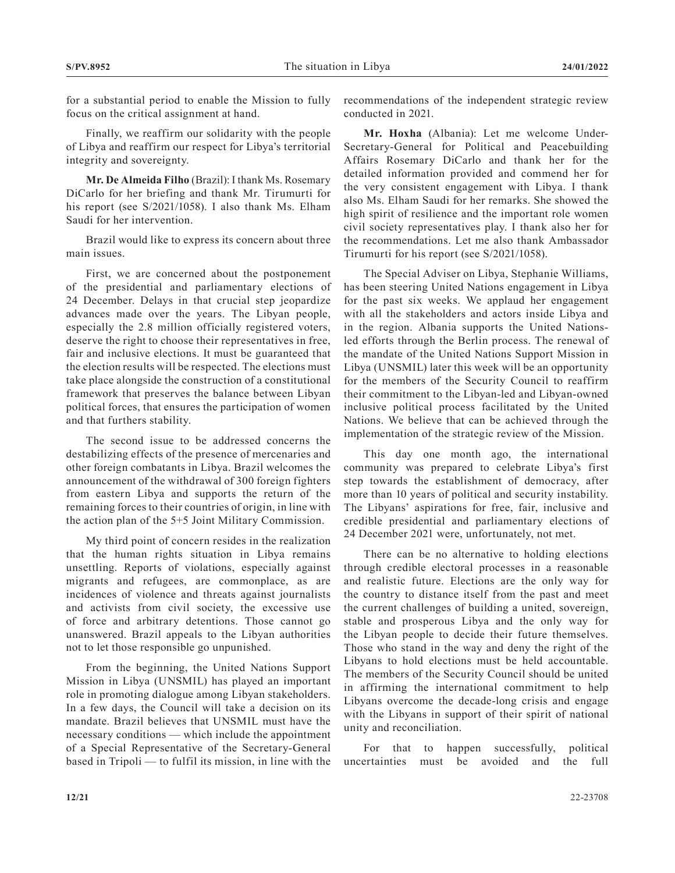for a substantial period to enable the Mission to fully focus on the critical assignment at hand.

Finally, we reaffirm our solidarity with the people of Libya and reaffirm our respect for Libya's territorial integrity and sovereignty.

**Mr. De Almeida Filho** (Brazil): I thank Ms. Rosemary DiCarlo for her briefing and thank Mr. Tirumurti for his report (see S/2021/1058). I also thank Ms. Elham Saudi for her intervention.

Brazil would like to express its concern about three main issues.

First, we are concerned about the postponement of the presidential and parliamentary elections of 24 December. Delays in that crucial step jeopardize advances made over the years. The Libyan people, especially the 2.8 million officially registered voters, deserve the right to choose their representatives in free, fair and inclusive elections. It must be guaranteed that the election results will be respected. The elections must take place alongside the construction of a constitutional framework that preserves the balance between Libyan political forces, that ensures the participation of women and that furthers stability.

The second issue to be addressed concerns the destabilizing effects of the presence of mercenaries and other foreign combatants in Libya. Brazil welcomes the announcement of the withdrawal of 300 foreign fighters from eastern Libya and supports the return of the remaining forces to their countries of origin, in line with the action plan of the 5+5 Joint Military Commission.

My third point of concern resides in the realization that the human rights situation in Libya remains unsettling. Reports of violations, especially against migrants and refugees, are commonplace, as are incidences of violence and threats against journalists and activists from civil society, the excessive use of force and arbitrary detentions. Those cannot go unanswered. Brazil appeals to the Libyan authorities not to let those responsible go unpunished.

From the beginning, the United Nations Support Mission in Libya (UNSMIL) has played an important role in promoting dialogue among Libyan stakeholders. In a few days, the Council will take a decision on its mandate. Brazil believes that UNSMIL must have the necessary conditions — which include the appointment of a Special Representative of the Secretary-General based in Tripoli — to fulfil its mission, in line with the

recommendations of the independent strategic review conducted in 2021.

**Mr. Hoxha** (Albania): Let me welcome Under-Secretary-General for Political and Peacebuilding Affairs Rosemary DiCarlo and thank her for the detailed information provided and commend her for the very consistent engagement with Libya. I thank also Ms. Elham Saudi for her remarks. She showed the high spirit of resilience and the important role women civil society representatives play. I thank also her for the recommendations. Let me also thank Ambassador Tirumurti for his report (see S/2021/1058).

The Special Adviser on Libya, Stephanie Williams, has been steering United Nations engagement in Libya for the past six weeks. We applaud her engagement with all the stakeholders and actors inside Libya and in the region. Albania supports the United Nationsled efforts through the Berlin process. The renewal of the mandate of the United Nations Support Mission in Libya (UNSMIL) later this week will be an opportunity for the members of the Security Council to reaffirm their commitment to the Libyan-led and Libyan-owned inclusive political process facilitated by the United Nations. We believe that can be achieved through the implementation of the strategic review of the Mission.

This day one month ago, the international community was prepared to celebrate Libya's first step towards the establishment of democracy, after more than 10 years of political and security instability. The Libyans' aspirations for free, fair, inclusive and credible presidential and parliamentary elections of 24 December 2021 were, unfortunately, not met.

There can be no alternative to holding elections through credible electoral processes in a reasonable and realistic future. Elections are the only way for the country to distance itself from the past and meet the current challenges of building a united, sovereign, stable and prosperous Libya and the only way for the Libyan people to decide their future themselves. Those who stand in the way and deny the right of the Libyans to hold elections must be held accountable. The members of the Security Council should be united in affirming the international commitment to help Libyans overcome the decade-long crisis and engage with the Libyans in support of their spirit of national unity and reconciliation.

For that to happen successfully, political uncertainties must be avoided and the full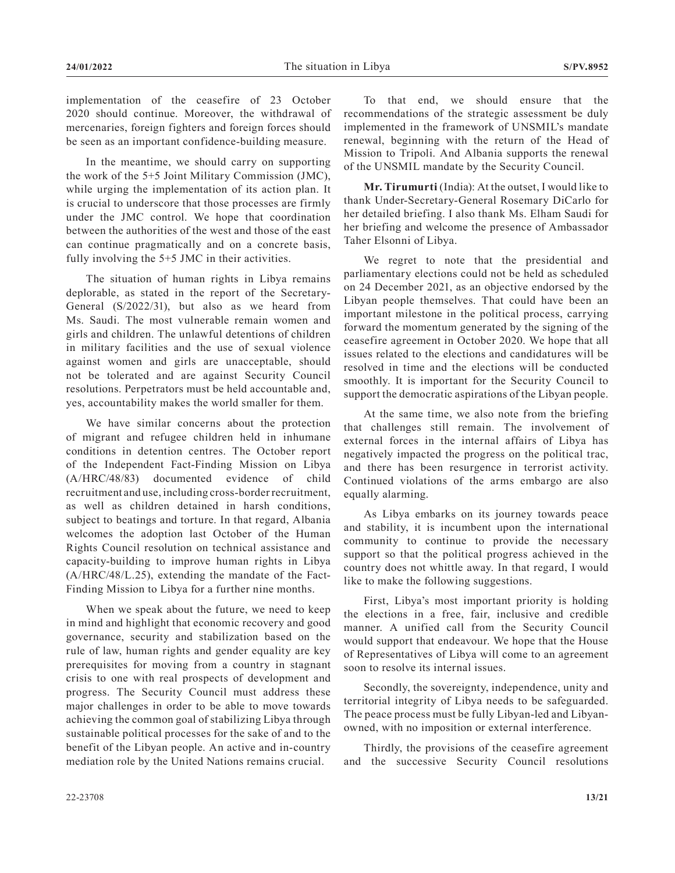implementation of the ceasefire of 23 October 2020 should continue. Moreover, the withdrawal of mercenaries, foreign fighters and foreign forces should be seen as an important confidence-building measure.

In the meantime, we should carry on supporting the work of the 5+5 Joint Military Commission (JMC), while urging the implementation of its action plan. It is crucial to underscore that those processes are firmly under the JMC control. We hope that coordination between the authorities of the west and those of the east can continue pragmatically and on a concrete basis, fully involving the 5+5 JMC in their activities.

The situation of human rights in Libya remains deplorable, as stated in the report of the Secretary-General (S/2022/31), but also as we heard from Ms. Saudi. The most vulnerable remain women and girls and children. The unlawful detentions of children in military facilities and the use of sexual violence against women and girls are unacceptable, should not be tolerated and are against Security Council resolutions. Perpetrators must be held accountable and, yes, accountability makes the world smaller for them.

We have similar concerns about the protection of migrant and refugee children held in inhumane conditions in detention centres. The October report of the Independent Fact-Finding Mission on Libya (A/HRC/48/83) documented evidence of child recruitment and use, including cross-border recruitment, as well as children detained in harsh conditions, subject to beatings and torture. In that regard, Albania welcomes the adoption last October of the Human Rights Council resolution on technical assistance and capacity-building to improve human rights in Libya (A/HRC/48/L.25), extending the mandate of the Fact-Finding Mission to Libya for a further nine months.

When we speak about the future, we need to keep in mind and highlight that economic recovery and good governance, security and stabilization based on the rule of law, human rights and gender equality are key prerequisites for moving from a country in stagnant crisis to one with real prospects of development and progress. The Security Council must address these major challenges in order to be able to move towards achieving the common goal of stabilizing Libya through sustainable political processes for the sake of and to the benefit of the Libyan people. An active and in-country mediation role by the United Nations remains crucial.

To that end, we should ensure that the recommendations of the strategic assessment be duly implemented in the framework of UNSMIL's mandate renewal, beginning with the return of the Head of Mission to Tripoli. And Albania supports the renewal of the UNSMIL mandate by the Security Council.

**Mr. Tirumurti** (India): At the outset, I would like to thank Under-Secretary-General Rosemary DiCarlo for her detailed briefing. I also thank Ms. Elham Saudi for her briefing and welcome the presence of Ambassador Taher Elsonni of Libya.

We regret to note that the presidential and parliamentary elections could not be held as scheduled on 24 December 2021, as an objective endorsed by the Libyan people themselves. That could have been an important milestone in the political process, carrying forward the momentum generated by the signing of the ceasefire agreement in October 2020. We hope that all issues related to the elections and candidatures will be resolved in time and the elections will be conducted smoothly. It is important for the Security Council to support the democratic aspirations of the Libyan people.

At the same time, we also note from the briefing that challenges still remain. The involvement of external forces in the internal affairs of Libya has negatively impacted the progress on the political trac, and there has been resurgence in terrorist activity. Continued violations of the arms embargo are also equally alarming.

As Libya embarks on its journey towards peace and stability, it is incumbent upon the international community to continue to provide the necessary support so that the political progress achieved in the country does not whittle away. In that regard, I would like to make the following suggestions.

First, Libya's most important priority is holding the elections in a free, fair, inclusive and credible manner. A unified call from the Security Council would support that endeavour. We hope that the House of Representatives of Libya will come to an agreement soon to resolve its internal issues.

Secondly, the sovereignty, independence, unity and territorial integrity of Libya needs to be safeguarded. The peace process must be fully Libyan-led and Libyanowned, with no imposition or external interference.

Thirdly, the provisions of the ceasefire agreement and the successive Security Council resolutions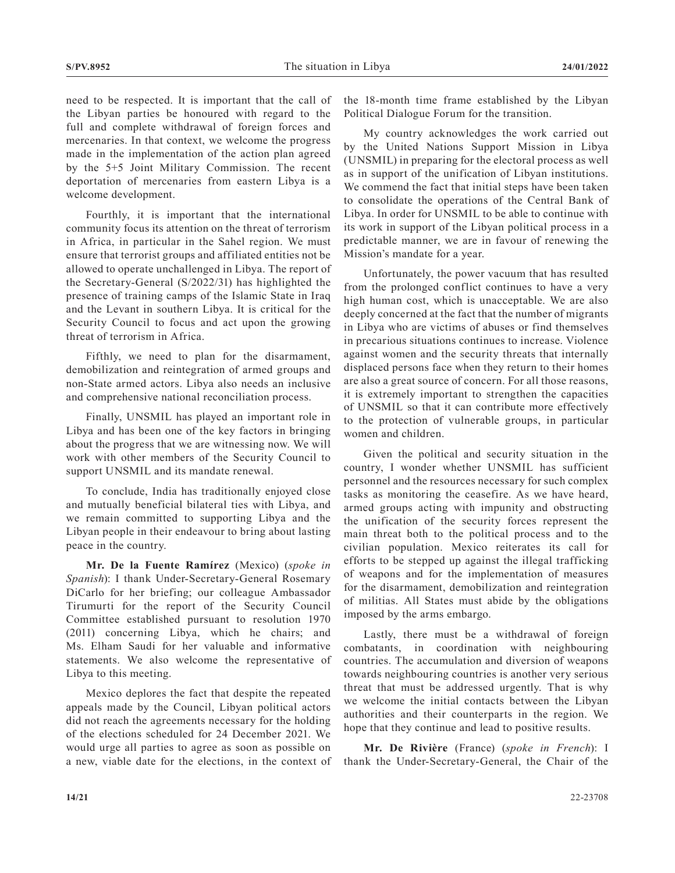need to be respected. It is important that the call of the Libyan parties be honoured with regard to the full and complete withdrawal of foreign forces and mercenaries. In that context, we welcome the progress made in the implementation of the action plan agreed by the 5+5 Joint Military Commission. The recent deportation of mercenaries from eastern Libya is a welcome development.

Fourthly, it is important that the international community focus its attention on the threat of terrorism in Africa, in particular in the Sahel region. We must ensure that terrorist groups and affiliated entities not be allowed to operate unchallenged in Libya. The report of the Secretary-General (S/2022/31) has highlighted the presence of training camps of the Islamic State in Iraq and the Levant in southern Libya. It is critical for the Security Council to focus and act upon the growing threat of terrorism in Africa.

Fifthly, we need to plan for the disarmament, demobilization and reintegration of armed groups and non-State armed actors. Libya also needs an inclusive and comprehensive national reconciliation process.

Finally, UNSMIL has played an important role in Libya and has been one of the key factors in bringing about the progress that we are witnessing now. We will work with other members of the Security Council to support UNSMIL and its mandate renewal.

To conclude, India has traditionally enjoyed close and mutually beneficial bilateral ties with Libya, and we remain committed to supporting Libya and the Libyan people in their endeavour to bring about lasting peace in the country.

**Mr. De la Fuente Ramírez** (Mexico) (*spoke in Spanish*): I thank Under-Secretary-General Rosemary DiCarlo for her briefing; our colleague Ambassador Tirumurti for the report of the Security Council Committee established pursuant to resolution 1970 (2011) concerning Libya, which he chairs; and Ms. Elham Saudi for her valuable and informative statements. We also welcome the representative of Libya to this meeting.

Mexico deplores the fact that despite the repeated appeals made by the Council, Libyan political actors did not reach the agreements necessary for the holding of the elections scheduled for 24 December 2021. We would urge all parties to agree as soon as possible on a new, viable date for the elections, in the context of the 18-month time frame established by the Libyan Political Dialogue Forum for the transition.

My country acknowledges the work carried out by the United Nations Support Mission in Libya (UNSMIL) in preparing for the electoral process as well as in support of the unification of Libyan institutions. We commend the fact that initial steps have been taken to consolidate the operations of the Central Bank of Libya. In order for UNSMIL to be able to continue with its work in support of the Libyan political process in a predictable manner, we are in favour of renewing the Mission's mandate for a year.

Unfortunately, the power vacuum that has resulted from the prolonged conflict continues to have a very high human cost, which is unacceptable. We are also deeply concerned at the fact that the number of migrants in Libya who are victims of abuses or find themselves in precarious situations continues to increase. Violence against women and the security threats that internally displaced persons face when they return to their homes are also a great source of concern. For all those reasons, it is extremely important to strengthen the capacities of UNSMIL so that it can contribute more effectively to the protection of vulnerable groups, in particular women and children.

Given the political and security situation in the country, I wonder whether UNSMIL has sufficient personnel and the resources necessary for such complex tasks as monitoring the ceasefire. As we have heard, armed groups acting with impunity and obstructing the unification of the security forces represent the main threat both to the political process and to the civilian population. Mexico reiterates its call for efforts to be stepped up against the illegal trafficking of weapons and for the implementation of measures for the disarmament, demobilization and reintegration of militias. All States must abide by the obligations imposed by the arms embargo.

Lastly, there must be a withdrawal of foreign combatants, in coordination with neighbouring countries. The accumulation and diversion of weapons towards neighbouring countries is another very serious threat that must be addressed urgently. That is why we welcome the initial contacts between the Libyan authorities and their counterparts in the region. We hope that they continue and lead to positive results.

**Mr. De Rivière** (France) (*spoke in French*): I thank the Under-Secretary-General, the Chair of the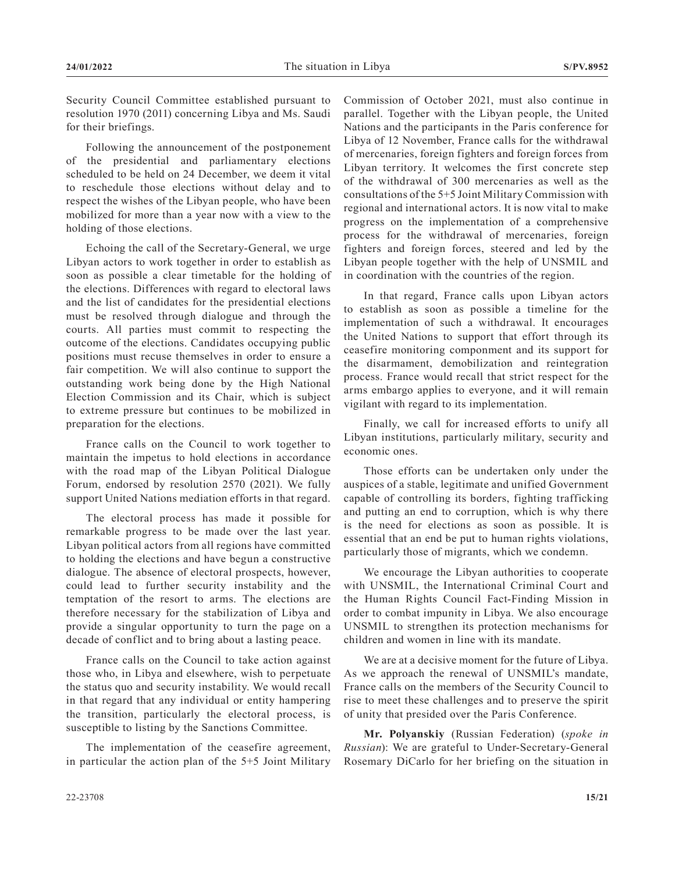Security Council Committee established pursuant to resolution 1970 (2011) concerning Libya and Ms. Saudi for their briefings.

Following the announcement of the postponement of the presidential and parliamentary elections scheduled to be held on 24 December, we deem it vital to reschedule those elections without delay and to respect the wishes of the Libyan people, who have been mobilized for more than a year now with a view to the holding of those elections.

Echoing the call of the Secretary-General, we urge Libyan actors to work together in order to establish as soon as possible a clear timetable for the holding of the elections. Differences with regard to electoral laws and the list of candidates for the presidential elections must be resolved through dialogue and through the courts. All parties must commit to respecting the outcome of the elections. Candidates occupying public positions must recuse themselves in order to ensure a fair competition. We will also continue to support the outstanding work being done by the High National Election Commission and its Chair, which is subject to extreme pressure but continues to be mobilized in preparation for the elections.

France calls on the Council to work together to maintain the impetus to hold elections in accordance with the road map of the Libyan Political Dialogue Forum, endorsed by resolution 2570 (2021). We fully support United Nations mediation efforts in that regard.

The electoral process has made it possible for remarkable progress to be made over the last year. Libyan political actors from all regions have committed to holding the elections and have begun a constructive dialogue. The absence of electoral prospects, however, could lead to further security instability and the temptation of the resort to arms. The elections are therefore necessary for the stabilization of Libya and provide a singular opportunity to turn the page on a decade of conflict and to bring about a lasting peace.

France calls on the Council to take action against those who, in Libya and elsewhere, wish to perpetuate the status quo and security instability. We would recall in that regard that any individual or entity hampering the transition, particularly the electoral process, is susceptible to listing by the Sanctions Committee.

The implementation of the ceasefire agreement, in particular the action plan of the 5+5 Joint Military Commission of October 2021, must also continue in parallel. Together with the Libyan people, the United Nations and the participants in the Paris conference for Libya of 12 November, France calls for the withdrawal of mercenaries, foreign fighters and foreign forces from Libyan territory. It welcomes the first concrete step of the withdrawal of 300 mercenaries as well as the consultations of the 5+5 Joint Military Commission with regional and international actors. It is now vital to make progress on the implementation of a comprehensive process for the withdrawal of mercenaries, foreign fighters and foreign forces, steered and led by the Libyan people together with the help of UNSMIL and in coordination with the countries of the region.

In that regard, France calls upon Libyan actors to establish as soon as possible a timeline for the implementation of such a withdrawal. It encourages the United Nations to support that effort through its ceasefire monitoring componment and its support for the disarmament, demobilization and reintegration process. France would recall that strict respect for the arms embargo applies to everyone, and it will remain vigilant with regard to its implementation.

Finally, we call for increased efforts to unify all Libyan institutions, particularly military, security and economic ones.

Those efforts can be undertaken only under the auspices of a stable, legitimate and unified Government capable of controlling its borders, fighting trafficking and putting an end to corruption, which is why there is the need for elections as soon as possible. It is essential that an end be put to human rights violations, particularly those of migrants, which we condemn.

We encourage the Libyan authorities to cooperate with UNSMIL, the International Criminal Court and the Human Rights Council Fact-Finding Mission in order to combat impunity in Libya. We also encourage UNSMIL to strengthen its protection mechanisms for children and women in line with its mandate.

We are at a decisive moment for the future of Libya. As we approach the renewal of UNSMIL's mandate, France calls on the members of the Security Council to rise to meet these challenges and to preserve the spirit of unity that presided over the Paris Conference.

**Mr. Polyanskiy** (Russian Federation) (*spoke in Russian*): We are grateful to Under-Secretary-General Rosemary DiCarlo for her briefing on the situation in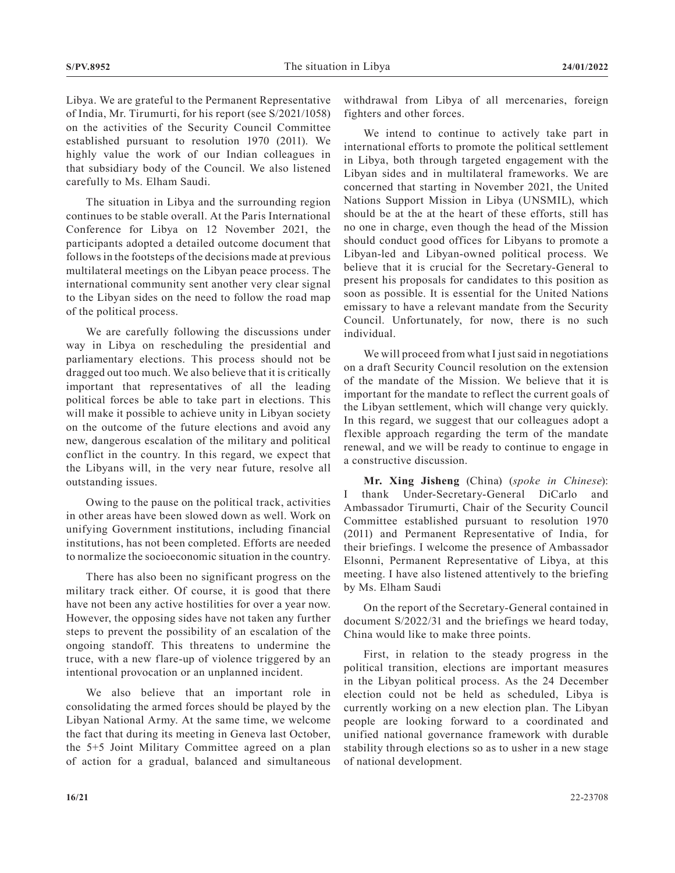Libya. We are grateful to the Permanent Representative of India, Mr. Tirumurti, for his report (see S/2021/1058) on the activities of the Security Council Committee established pursuant to resolution 1970 (2011). We highly value the work of our Indian colleagues in that subsidiary body of the Council. We also listened carefully to Ms. Elham Saudi.

The situation in Libya and the surrounding region continues to be stable overall. At the Paris International Conference for Libya on 12 November 2021, the participants adopted a detailed outcome document that follows in the footsteps of the decisions made at previous multilateral meetings on the Libyan peace process. The international community sent another very clear signal to the Libyan sides on the need to follow the road map of the political process.

We are carefully following the discussions under way in Libya on rescheduling the presidential and parliamentary elections. This process should not be dragged out too much. We also believe that it is critically important that representatives of all the leading political forces be able to take part in elections. This will make it possible to achieve unity in Libyan society on the outcome of the future elections and avoid any new, dangerous escalation of the military and political conflict in the country. In this regard, we expect that the Libyans will, in the very near future, resolve all outstanding issues.

Owing to the pause on the political track, activities in other areas have been slowed down as well. Work on unifying Government institutions, including financial institutions, has not been completed. Efforts are needed to normalize the socioeconomic situation in the country.

There has also been no significant progress on the military track either. Of course, it is good that there have not been any active hostilities for over a year now. However, the opposing sides have not taken any further steps to prevent the possibility of an escalation of the ongoing standoff. This threatens to undermine the truce, with a new flare-up of violence triggered by an intentional provocation or an unplanned incident.

We also believe that an important role in consolidating the armed forces should be played by the Libyan National Army. At the same time, we welcome the fact that during its meeting in Geneva last October, the 5+5 Joint Military Committee agreed on a plan of action for a gradual, balanced and simultaneous

withdrawal from Libya of all mercenaries, foreign fighters and other forces.

We intend to continue to actively take part in international efforts to promote the political settlement in Libya, both through targeted engagement with the Libyan sides and in multilateral frameworks. We are concerned that starting in November 2021, the United Nations Support Mission in Libya (UNSMIL), which should be at the at the heart of these efforts, still has no one in charge, even though the head of the Mission should conduct good offices for Libyans to promote a Libyan-led and Libyan-owned political process. We believe that it is crucial for the Secretary-General to present his proposals for candidates to this position as soon as possible. It is essential for the United Nations emissary to have a relevant mandate from the Security Council. Unfortunately, for now, there is no such individual.

We will proceed from what I just said in negotiations on a draft Security Council resolution on the extension of the mandate of the Mission. We believe that it is important for the mandate to reflect the current goals of the Libyan settlement, which will change very quickly. In this regard, we suggest that our colleagues adopt a flexible approach regarding the term of the mandate renewal, and we will be ready to continue to engage in a constructive discussion.

**Mr. Xing Jisheng** (China) (*spoke in Chinese*): I thank Under-Secretary-General DiCarlo and Ambassador Tirumurti, Chair of the Security Council Committee established pursuant to resolution 1970 (2011) and Permanent Representative of India, for their briefings. I welcome the presence of Ambassador Elsonni, Permanent Representative of Libya, at this meeting. I have also listened attentively to the briefing by Ms. Elham Saudi

On the report of the Secretary-General contained in document S/2022/31 and the briefings we heard today, China would like to make three points.

First, in relation to the steady progress in the political transition, elections are important measures in the Libyan political process. As the 24 December election could not be held as scheduled, Libya is currently working on a new election plan. The Libyan people are looking forward to a coordinated and unified national governance framework with durable stability through elections so as to usher in a new stage of national development.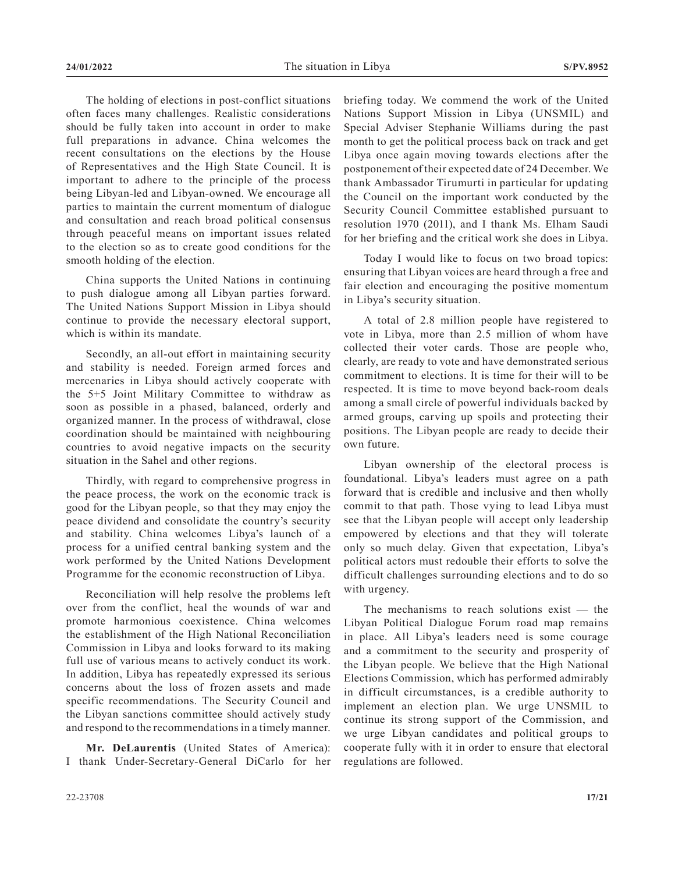The holding of elections in post-conflict situations often faces many challenges. Realistic considerations should be fully taken into account in order to make full preparations in advance. China welcomes the recent consultations on the elections by the House of Representatives and the High State Council. It is important to adhere to the principle of the process being Libyan-led and Libyan-owned. We encourage all parties to maintain the current momentum of dialogue and consultation and reach broad political consensus through peaceful means on important issues related to the election so as to create good conditions for the smooth holding of the election.

China supports the United Nations in continuing to push dialogue among all Libyan parties forward. The United Nations Support Mission in Libya should continue to provide the necessary electoral support, which is within its mandate.

Secondly, an all-out effort in maintaining security and stability is needed. Foreign armed forces and mercenaries in Libya should actively cooperate with the 5+5 Joint Military Committee to withdraw as soon as possible in a phased, balanced, orderly and organized manner. In the process of withdrawal, close coordination should be maintained with neighbouring countries to avoid negative impacts on the security situation in the Sahel and other regions.

Thirdly, with regard to comprehensive progress in the peace process, the work on the economic track is good for the Libyan people, so that they may enjoy the peace dividend and consolidate the country's security and stability. China welcomes Libya's launch of a process for a unified central banking system and the work performed by the United Nations Development Programme for the economic reconstruction of Libya.

Reconciliation will help resolve the problems left over from the conflict, heal the wounds of war and promote harmonious coexistence. China welcomes the establishment of the High National Reconciliation Commission in Libya and looks forward to its making full use of various means to actively conduct its work. In addition, Libya has repeatedly expressed its serious concerns about the loss of frozen assets and made specific recommendations. The Security Council and the Libyan sanctions committee should actively study and respond to the recommendations in a timely manner.

**Mr. DeLaurentis** (United States of America): I thank Under-Secretary-General DiCarlo for her

briefing today. We commend the work of the United Nations Support Mission in Libya (UNSMIL) and Special Adviser Stephanie Williams during the past month to get the political process back on track and get Libya once again moving towards elections after the postponement of their expected date of 24 December. We thank Ambassador Tirumurti in particular for updating the Council on the important work conducted by the Security Council Committee established pursuant to resolution 1970 (2011), and I thank Ms. Elham Saudi for her briefing and the critical work she does in Libya.

Today I would like to focus on two broad topics: ensuring that Libyan voices are heard through a free and fair election and encouraging the positive momentum in Libya's security situation.

A total of 2.8 million people have registered to vote in Libya, more than 2.5 million of whom have collected their voter cards. Those are people who, clearly, are ready to vote and have demonstrated serious commitment to elections. It is time for their will to be respected. It is time to move beyond back-room deals among a small circle of powerful individuals backed by armed groups, carving up spoils and protecting their positions. The Libyan people are ready to decide their own future.

Libyan ownership of the electoral process is foundational. Libya's leaders must agree on a path forward that is credible and inclusive and then wholly commit to that path. Those vying to lead Libya must see that the Libyan people will accept only leadership empowered by elections and that they will tolerate only so much delay. Given that expectation, Libya's political actors must redouble their efforts to solve the difficult challenges surrounding elections and to do so with urgency.

The mechanisms to reach solutions exist — the Libyan Political Dialogue Forum road map remains in place. All Libya's leaders need is some courage and a commitment to the security and prosperity of the Libyan people. We believe that the High National Elections Commission, which has performed admirably in difficult circumstances, is a credible authority to implement an election plan. We urge UNSMIL to continue its strong support of the Commission, and we urge Libyan candidates and political groups to cooperate fully with it in order to ensure that electoral regulations are followed.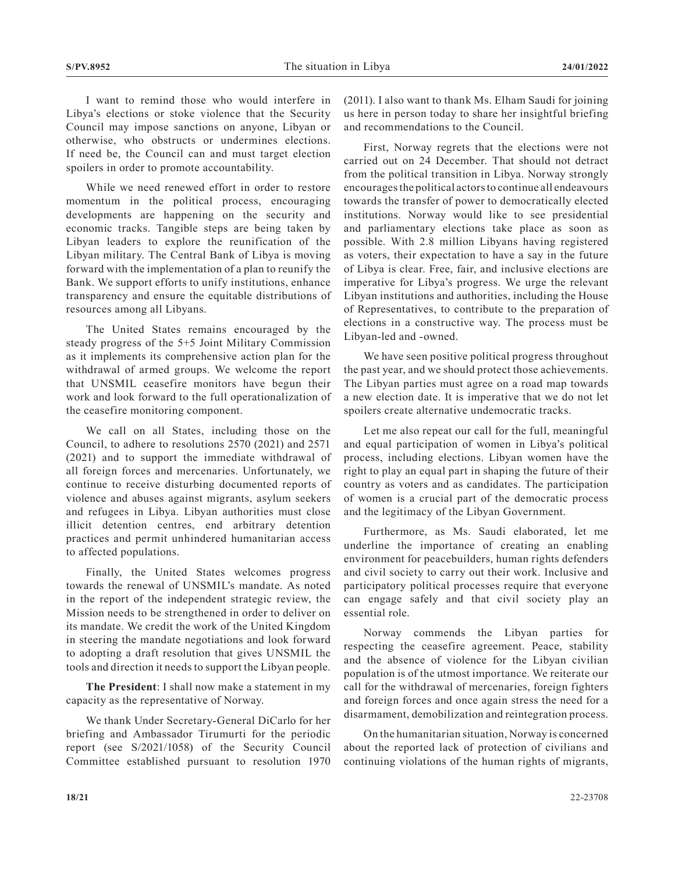I want to remind those who would interfere in Libya's elections or stoke violence that the Security Council may impose sanctions on anyone, Libyan or otherwise, who obstructs or undermines elections. If need be, the Council can and must target election spoilers in order to promote accountability.

While we need renewed effort in order to restore momentum in the political process, encouraging developments are happening on the security and economic tracks. Tangible steps are being taken by Libyan leaders to explore the reunification of the Libyan military. The Central Bank of Libya is moving forward with the implementation of a plan to reunify the Bank. We support efforts to unify institutions, enhance transparency and ensure the equitable distributions of resources among all Libyans.

The United States remains encouraged by the steady progress of the 5+5 Joint Military Commission as it implements its comprehensive action plan for the withdrawal of armed groups. We welcome the report that UNSMIL ceasefire monitors have begun their work and look forward to the full operationalization of the ceasefire monitoring component.

We call on all States, including those on the Council, to adhere to resolutions 2570 (2021) and 2571 (2021) and to support the immediate withdrawal of all foreign forces and mercenaries. Unfortunately, we continue to receive disturbing documented reports of violence and abuses against migrants, asylum seekers and refugees in Libya. Libyan authorities must close illicit detention centres, end arbitrary detention practices and permit unhindered humanitarian access to affected populations.

Finally, the United States welcomes progress towards the renewal of UNSMIL's mandate. As noted in the report of the independent strategic review, the Mission needs to be strengthened in order to deliver on its mandate. We credit the work of the United Kingdom in steering the mandate negotiations and look forward to adopting a draft resolution that gives UNSMIL the tools and direction it needs to support the Libyan people.

**The President**: I shall now make a statement in my capacity as the representative of Norway.

We thank Under Secretary-General DiCarlo for her briefing and Ambassador Tirumurti for the periodic report (see S/2021/1058) of the Security Council Committee established pursuant to resolution 1970

(2011). I also want to thank Ms. Elham Saudi for joining us here in person today to share her insightful briefing and recommendations to the Council.

First, Norway regrets that the elections were not carried out on 24 December. That should not detract from the political transition in Libya. Norway strongly encourages the political actors to continue all endeavours towards the transfer of power to democratically elected institutions. Norway would like to see presidential and parliamentary elections take place as soon as possible. With 2.8 million Libyans having registered as voters, their expectation to have a say in the future of Libya is clear. Free, fair, and inclusive elections are imperative for Libya's progress. We urge the relevant Libyan institutions and authorities, including the House of Representatives, to contribute to the preparation of elections in a constructive way. The process must be Libyan-led and -owned.

We have seen positive political progress throughout the past year, and we should protect those achievements. The Libyan parties must agree on a road map towards a new election date. It is imperative that we do not let spoilers create alternative undemocratic tracks.

Let me also repeat our call for the full, meaningful and equal participation of women in Libya's political process, including elections. Libyan women have the right to play an equal part in shaping the future of their country as voters and as candidates. The participation of women is a crucial part of the democratic process and the legitimacy of the Libyan Government.

Furthermore, as Ms. Saudi elaborated, let me underline the importance of creating an enabling environment for peacebuilders, human rights defenders and civil society to carry out their work. Inclusive and participatory political processes require that everyone can engage safely and that civil society play an essential role.

Norway commends the Libyan parties for respecting the ceasefire agreement. Peace, stability and the absence of violence for the Libyan civilian population is of the utmost importance. We reiterate our call for the withdrawal of mercenaries, foreign fighters and foreign forces and once again stress the need for a disarmament, demobilization and reintegration process.

On the humanitarian situation, Norway is concerned about the reported lack of protection of civilians and continuing violations of the human rights of migrants,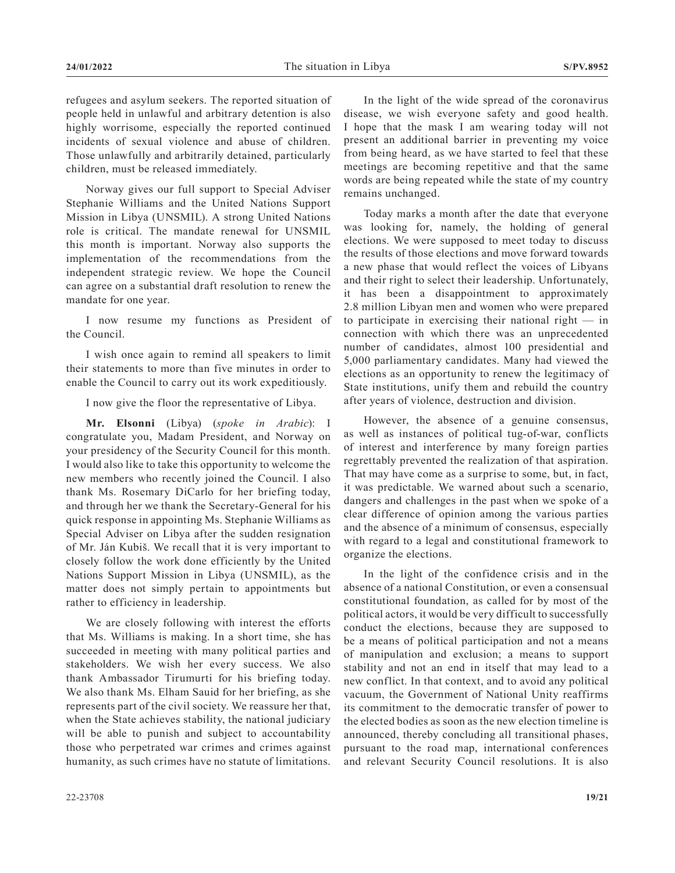refugees and asylum seekers. The reported situation of people held in unlawful and arbitrary detention is also highly worrisome, especially the reported continued incidents of sexual violence and abuse of children. Those unlawfully and arbitrarily detained, particularly children, must be released immediately.

Norway gives our full support to Special Adviser Stephanie Williams and the United Nations Support Mission in Libya (UNSMIL). A strong United Nations role is critical. The mandate renewal for UNSMIL this month is important. Norway also supports the implementation of the recommendations from the independent strategic review. We hope the Council can agree on a substantial draft resolution to renew the mandate for one year.

I now resume my functions as President of the Council.

I wish once again to remind all speakers to limit their statements to more than five minutes in order to enable the Council to carry out its work expeditiously.

I now give the floor the representative of Libya.

**Mr. Elsonni** (Libya) (*spoke in Arabic*): I congratulate you, Madam President, and Norway on your presidency of the Security Council for this month. I would also like to take this opportunity to welcome the new members who recently joined the Council. I also thank Ms. Rosemary DiCarlo for her briefing today, and through her we thank the Secretary-General for his quick response in appointing Ms. Stephanie Williams as Special Adviser on Libya after the sudden resignation of Mr. Ján Kubiš. We recall that it is very important to closely follow the work done efficiently by the United Nations Support Mission in Libya (UNSMIL), as the matter does not simply pertain to appointments but rather to efficiency in leadership.

We are closely following with interest the efforts that Ms. Williams is making. In a short time, she has succeeded in meeting with many political parties and stakeholders. We wish her every success. We also thank Ambassador Tirumurti for his briefing today. We also thank Ms. Elham Sauid for her briefing, as she represents part of the civil society. We reassure her that, when the State achieves stability, the national judiciary will be able to punish and subject to accountability those who perpetrated war crimes and crimes against humanity, as such crimes have no statute of limitations.

In the light of the wide spread of the coronavirus disease, we wish everyone safety and good health. I hope that the mask I am wearing today will not present an additional barrier in preventing my voice from being heard, as we have started to feel that these meetings are becoming repetitive and that the same words are being repeated while the state of my country remains unchanged.

Today marks a month after the date that everyone was looking for, namely, the holding of general elections. We were supposed to meet today to discuss the results of those elections and move forward towards a new phase that would reflect the voices of Libyans and their right to select their leadership. Unfortunately, it has been a disappointment to approximately 2.8 million Libyan men and women who were prepared to participate in exercising their national right — in connection with which there was an unprecedented number of candidates, almost 100 presidential and 5,000 parliamentary candidates. Many had viewed the elections as an opportunity to renew the legitimacy of State institutions, unify them and rebuild the country after years of violence, destruction and division.

However, the absence of a genuine consensus, as well as instances of political tug-of-war, conflicts of interest and interference by many foreign parties regrettably prevented the realization of that aspiration. That may have come as a surprise to some, but, in fact, it was predictable. We warned about such a scenario, dangers and challenges in the past when we spoke of a clear difference of opinion among the various parties and the absence of a minimum of consensus, especially with regard to a legal and constitutional framework to organize the elections.

In the light of the confidence crisis and in the absence of a national Constitution, or even a consensual constitutional foundation, as called for by most of the political actors, it would be very difficult to successfully conduct the elections, because they are supposed to be a means of political participation and not a means of manipulation and exclusion; a means to support stability and not an end in itself that may lead to a new conflict. In that context, and to avoid any political vacuum, the Government of National Unity reaffirms its commitment to the democratic transfer of power to the elected bodies as soon as the new election timeline is announced, thereby concluding all transitional phases, pursuant to the road map, international conferences and relevant Security Council resolutions. It is also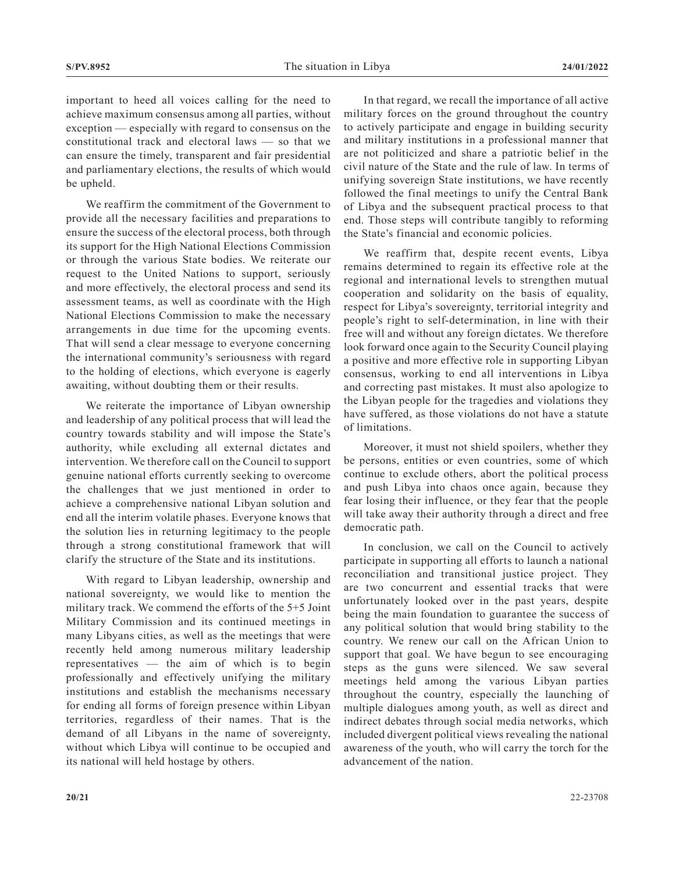important to heed all voices calling for the need to achieve maximum consensus among all parties, without exception — especially with regard to consensus on the constitutional track and electoral laws — so that we can ensure the timely, transparent and fair presidential and parliamentary elections, the results of which would be upheld.

We reaffirm the commitment of the Government to provide all the necessary facilities and preparations to ensure the success of the electoral process, both through its support for the High National Elections Commission or through the various State bodies. We reiterate our request to the United Nations to support, seriously and more effectively, the electoral process and send its assessment teams, as well as coordinate with the High National Elections Commission to make the necessary arrangements in due time for the upcoming events. That will send a clear message to everyone concerning the international community's seriousness with regard to the holding of elections, which everyone is eagerly awaiting, without doubting them or their results.

We reiterate the importance of Libyan ownership and leadership of any political process that will lead the country towards stability and will impose the State's authority, while excluding all external dictates and intervention. We therefore call on the Council to support genuine national efforts currently seeking to overcome the challenges that we just mentioned in order to achieve a comprehensive national Libyan solution and end all the interim volatile phases. Everyone knows that the solution lies in returning legitimacy to the people through a strong constitutional framework that will clarify the structure of the State and its institutions.

With regard to Libyan leadership, ownership and national sovereignty, we would like to mention the military track. We commend the efforts of the 5+5 Joint Military Commission and its continued meetings in many Libyans cities, as well as the meetings that were recently held among numerous military leadership representatives — the aim of which is to begin professionally and effectively unifying the military institutions and establish the mechanisms necessary for ending all forms of foreign presence within Libyan territories, regardless of their names. That is the demand of all Libyans in the name of sovereignty, without which Libya will continue to be occupied and its national will held hostage by others.

In that regard, we recall the importance of all active military forces on the ground throughout the country to actively participate and engage in building security and military institutions in a professional manner that are not politicized and share a patriotic belief in the civil nature of the State and the rule of law. In terms of unifying sovereign State institutions, we have recently followed the final meetings to unify the Central Bank of Libya and the subsequent practical process to that end. Those steps will contribute tangibly to reforming the State's financial and economic policies.

We reaffirm that, despite recent events, Libya remains determined to regain its effective role at the regional and international levels to strengthen mutual cooperation and solidarity on the basis of equality, respect for Libya's sovereignty, territorial integrity and people's right to self-determination, in line with their free will and without any foreign dictates. We therefore look forward once again to the Security Council playing a positive and more effective role in supporting Libyan consensus, working to end all interventions in Libya and correcting past mistakes. It must also apologize to the Libyan people for the tragedies and violations they have suffered, as those violations do not have a statute of limitations.

Moreover, it must not shield spoilers, whether they be persons, entities or even countries, some of which continue to exclude others, abort the political process and push Libya into chaos once again, because they fear losing their influence, or they fear that the people will take away their authority through a direct and free democratic path.

In conclusion, we call on the Council to actively participate in supporting all efforts to launch a national reconciliation and transitional justice project. They are two concurrent and essential tracks that were unfortunately looked over in the past years, despite being the main foundation to guarantee the success of any political solution that would bring stability to the country. We renew our call on the African Union to support that goal. We have begun to see encouraging steps as the guns were silenced. We saw several meetings held among the various Libyan parties throughout the country, especially the launching of multiple dialogues among youth, as well as direct and indirect debates through social media networks, which included divergent political views revealing the national awareness of the youth, who will carry the torch for the advancement of the nation.